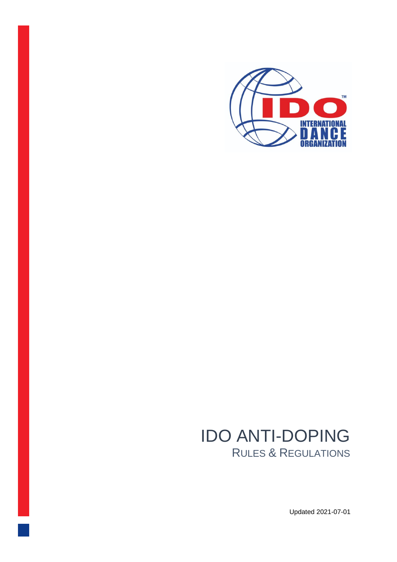

# IDO ANTI-DOPING RULES & REGULATIONS

Updated 2021-07-01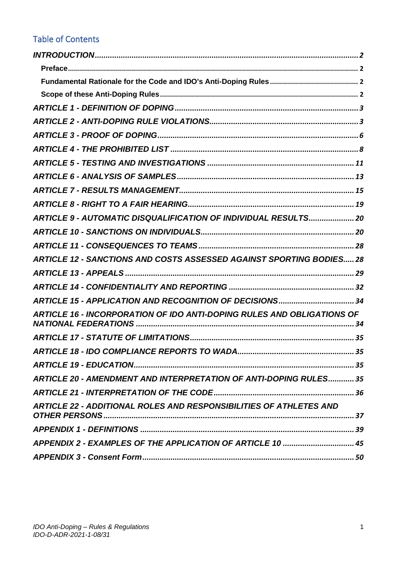# Table of Contents

| ARTICLE 9 - AUTOMATIC DISQUALIFICATION OF INDIVIDUAL RESULTS 20             |
|-----------------------------------------------------------------------------|
|                                                                             |
|                                                                             |
| <b>ARTICLE 12 - SANCTIONS AND COSTS ASSESSED AGAINST SPORTING BODIES 28</b> |
|                                                                             |
|                                                                             |
|                                                                             |
| ARTICLE 16 - INCORPORATION OF IDO ANTI-DOPING RULES AND OBLIGATIONS OF      |
|                                                                             |
|                                                                             |
|                                                                             |
| <b>ARTICLE 20 - AMENDMENT AND INTERPRETATION OF ANTI-DOPING RULES 35</b>    |
|                                                                             |
| <b>ARTICLE 22 - ADDITIONAL ROLES AND RESPONSIBILITIES OF ATHLETES AND</b>   |
|                                                                             |
| APPENDIX 2 - EXAMPLES OF THE APPLICATION OF ARTICLE 10  45                  |
|                                                                             |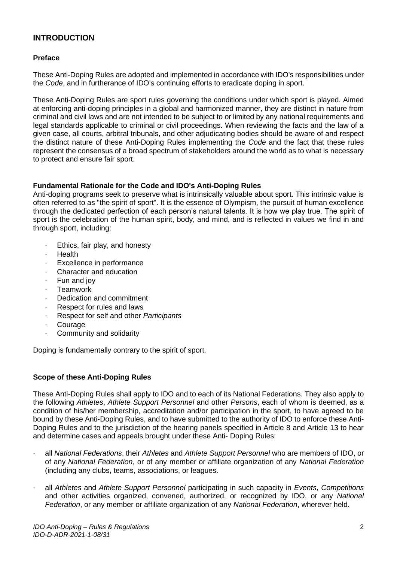# <span id="page-2-0"></span>**INTRODUCTION**

#### <span id="page-2-1"></span>**Preface**

These Anti-Doping Rules are adopted and implemented in accordance with IDO's responsibilities under the *Code*, and in furtherance of IDO's continuing efforts to eradicate doping in sport.

These Anti-Doping Rules are sport rules governing the conditions under which sport is played. Aimed at enforcing anti-doping principles in a global and harmonized manner, they are distinct in nature from criminal and civil laws and are not intended to be subject to or limited by any national requirements and legal standards applicable to criminal or civil proceedings. When reviewing the facts and the law of a given case, all courts, arbitral tribunals, and other adjudicating bodies should be aware of and respect the distinct nature of these Anti-Doping Rules implementing the *Code* and the fact that these rules represent the consensus of a broad spectrum of stakeholders around the world as to what is necessary to protect and ensure fair sport.

#### <span id="page-2-2"></span>**Fundamental Rationale for the Code and IDO's Anti-Doping Rules**

Anti-doping programs seek to preserve what is intrinsically valuable about sport. This intrinsic value is often referred to as "the spirit of sport". It is the essence of Olympism, the pursuit of human excellence through the dedicated perfection of each person's natural talents. It is how we play true. The spirit of sport is the celebration of the human spirit, body, and mind, and is reflected in values we find in and through sport, including:

- · Ethics, fair play, and honesty
- · Health
- Excellence in performance
- Character and education
- Fun and joy
- Teamwork
- Dedication and commitment
- Respect for rules and laws
- · Respect for self and other *Participants*
- **Courage**
- Community and solidarity

Doping is fundamentally contrary to the spirit of sport.

#### <span id="page-2-3"></span>**Scope of these Anti-Doping Rules**

These Anti-Doping Rules shall apply to IDO and to each of its National Federations. They also apply to the following *Athletes*, *Athlete Support Personnel* and other *Persons*, each of whom is deemed, as a condition of his/her membership, accreditation and/or participation in the sport, to have agreed to be bound by these Anti-Doping Rules, and to have submitted to the authority of IDO to enforce these Anti-Doping Rules and to the jurisdiction of the hearing panels specified in Article 8 and Article 13 to hear and determine cases and appeals brought under these Anti- Doping Rules:

- · all *National Federations*, their *Athletes* and *Athlete Support Personnel* who are members of IDO, or of any *National Federation*, or of any member or affiliate organization of any *National Federation*  (including any clubs, teams, associations, or leagues.
- · all *Athletes* and *Athlete Support Personnel* participating in such capacity in *Events*, *Competitions*  and other activities organized, convened, authorized, or recognized by IDO, or any *National Federation*, or any member or affiliate organization of any *National Federation*, wherever held.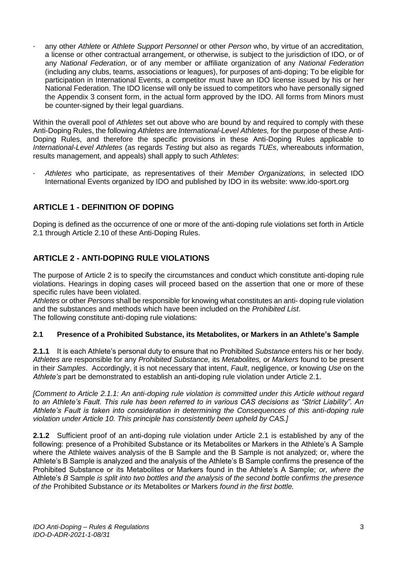· any other *Athlete* or *Athlete Support Personnel* or other *Person* who, by virtue of an accreditation, a license or other contractual arrangement, or otherwise, is subject to the jurisdiction of IDO, or of any *National Federation*, or of any member or affiliate organization of any *National Federation*  (including any clubs, teams, associations or leagues), for purposes of anti-doping; To be eligible for participation in International Events, a competitor must have an IDO license issued by his or her National Federation. The IDO license will only be issued to competitors who have personally signed the Appendix 3 consent form, in the actual form approved by the IDO. All forms from Minors must be counter-signed by their legal guardians.

Within the overall pool of *Athletes* set out above who are bound by and required to comply with these Anti-Doping Rules, the following *Athletes* are *International-Level Athletes,* for the purpose of these Anti-Doping Rules, and therefore the specific provisions in these Anti-Doping Rules applicable to *International-Level Athletes* (as regards *Testing* but also as regards *TUEs*, whereabouts information, results management, and appeals) shall apply to such *Athletes*:

· *Athletes* who participate, as representatives of their *Member Organizations,* in selected IDO International Events organized by IDO and published by IDO in its website: www.ido-sport.org

# <span id="page-3-0"></span>**ARTICLE 1 - DEFINITION OF DOPING**

Doping is defined as the occurrence of one or more of the anti-doping rule violations set forth in Article 2.1 through Article 2.10 of these Anti-Doping Rules.

# <span id="page-3-1"></span>**ARTICLE 2 - ANTI-DOPING RULE VIOLATIONS**

The purpose of Article 2 is to specify the circumstances and conduct which constitute anti-doping rule violations. Hearings in doping cases will proceed based on the assertion that one or more of these specific rules have been violated.

*Athletes* or other *Persons* shall be responsible for knowing what constitutes an anti- doping rule violation and the substances and methods which have been included on the *Prohibited List*. The following constitute anti-doping rule violations:

# **2.1 Presence of a Prohibited Substance, its Metabolites, or Markers in an Athlete's Sample**

**2.1.1** It is each Athlete's personal duty to ensure that no Prohibited *Substance* enters his or her body. *Athletes* are responsible for any *Prohibited Substance,* its *Metabolites,* or *Markers* found to be present in their *Samples*. Accordingly, it is not necessary that intent, *Fault*, negligence, or knowing *Use* on the *Athlete's* part be demonstrated to establish an anti-doping rule violation under Article 2.1.

*[Comment to Article 2.1.1: An anti-doping rule violation is committed under this Article without regard to an Athlete's Fault. This rule has been referred to in various CAS decisions as "Strict Liability". An Athlete's Fault is taken into consideration in determining the Consequences of this anti-doping rule violation under Article 10. This principle has consistently been upheld by CAS.]* 

**2.1.2** Sufficient proof of an anti-doping rule violation under Article 2.1 is established by any of the following: presence of a Prohibited Substance or its Metabolites or Markers in the Athlete's A Sample where the Athlete waives analysis of the B Sample and the B Sample is not analyzed; or, where the Athlete's B Sample is analyzed and the analysis of the Athlete's B Sample confirms the presence of the Prohibited Substance or its Metabolites or Markers found in the Athlete's A Sample; *or, where the*  Athlete's *B* Sample *is split into two bottles and the analysis of the second bottle confirms the presence of the* Prohibited Substance *or its* Metabolites *or* Markers *found in the first bottle.*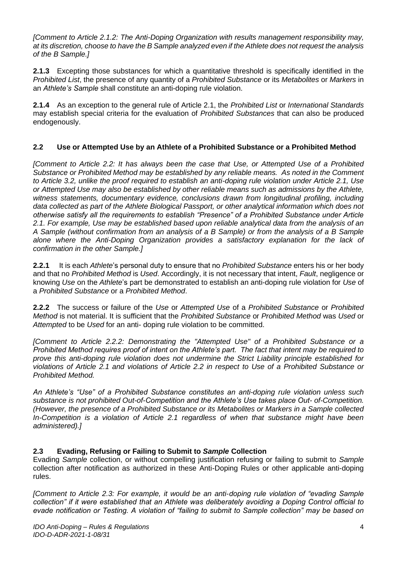*[Comment to Article 2.1.2: The Anti-Doping Organization with results management responsibility may, at its discretion, choose to have the B Sample analyzed even if the Athlete does not request the analysis of the B Sample.]* 

**2.1.3** Excepting those substances for which a quantitative threshold is specifically identified in the *Prohibited List*, the presence of any quantity of a *Prohibited Substance* or its *Metabolites* or *Markers* in an *Athlete's Sample* shall constitute an anti-doping rule violation.

**2.1.4** As an exception to the general rule of Article 2.1, the *Prohibited List* or *International Standards*  may establish special criteria for the evaluation of *Prohibited Substances* that can also be produced endogenously.

# **2.2 Use or Attempted Use by an Athlete of a Prohibited Substance or a Prohibited Method**

*[Comment to Article 2.2: It has always been the case that Use, or Attempted Use of a Prohibited Substance or Prohibited Method may be established by any reliable means. As noted in the Comment to Article 3.2, unlike the proof required to establish an anti-doping rule violation under Article 2.1, Use or Attempted Use may also be established by other reliable means such as admissions by the Athlete, witness statements, documentary evidence, conclusions drawn from longitudinal profiling, including data collected as part of the Athlete Biological Passport, or other analytical information which does not otherwise satisfy all the requirements to establish "Presence" of a Prohibited Substance under Article 2.1. For example, Use may be established based upon reliable analytical data from the analysis of an A Sample (without confirmation from an analysis of a B Sample) or from the analysis of a B Sample alone where the Anti-Doping Organization provides a satisfactory explanation for the lack of confirmation in the other Sample.]* 

**2.2.1** It is each *Athlete*'s personal duty to ensure that no *Prohibited Substance* enters his or her body and that no *Prohibited Method* is *Used*. Accordingly, it is not necessary that intent, *Fault*, negligence or knowing *Use* on the *Athlete*'s part be demonstrated to establish an anti-doping rule violation for *Use* of a *Prohibited Substance* or a *Prohibited Method*.

**2.2.2** The success or failure of the *Use* or *Attempted Use* of a *Prohibited Substance* or *Prohibited Method* is not material. It is sufficient that the *Prohibited Substance* or *Prohibited Method* was *Used* or *Attempted* to be *Used* for an anti- doping rule violation to be committed.

*[Comment to Article 2.2.2: Demonstrating the "Attempted Use" of a Prohibited Substance or a Prohibited Method requires proof of intent on the Athlete's part. The fact that intent may be required to prove this anti-doping rule violation does not undermine the Strict Liability principle established for violations of Article 2.1 and violations of Article 2.2 in respect to Use of a Prohibited Substance or Prohibited Method.* 

*An Athlete's "Use" of a Prohibited Substance constitutes an anti-doping rule violation unless such substance is not prohibited Out-of-Competition and the Athlete's Use takes place Out- of-Competition. (However, the presence of a Prohibited Substance or its Metabolites or Markers in a Sample collected In-Competition is a violation of Article 2.1 regardless of when that substance might have been administered).]* 

# **2.3 Evading, Refusing or Failing to Submit to** *Sample* **Collection**

Evading *Sample* collection, or without compelling justification refusing or failing to submit to *Sample*  collection after notification as authorized in these Anti-Doping Rules or other applicable anti-doping rules.

*[Comment to Article 2.3: For example, it would be an anti*‐*doping rule violation of "evading Sample collection" if it were established that an Athlete was deliberately avoiding a Doping Control official to evade notification or Testing. A violation of "failing to submit to Sample collection" may be based on*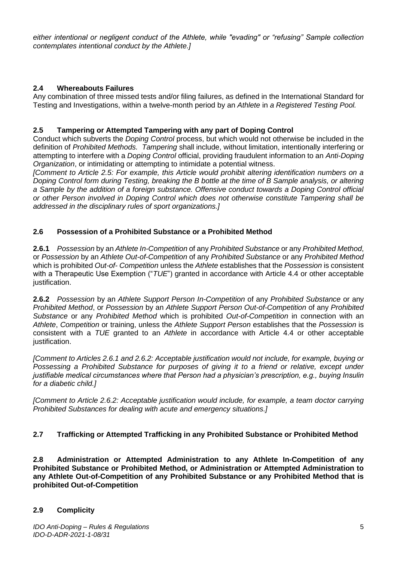*either intentional or negligent conduct of the Athlete, while "evading" or "refusing" Sample collection contemplates intentional conduct by the Athlete.]* 

# **2.4 Whereabouts Failures**

Any combination of three missed tests and/or filing failures, as defined in the International Standard for Testing and Investigations, within a twelve-month period by an *Athlete* in *a Registered Testing Pool.* 

# **2.5 Tampering or Attempted Tampering with any part of Doping Control**

Conduct which subverts the *Doping Control* process, but which would not otherwise be included in the definition of *Prohibited Methods. Tampering* shall include, without limitation, intentionally interfering or attempting to interfere with a *Doping Control* official, providing fraudulent information to an *Anti-Doping Organization*, or intimidating or attempting to intimidate a potential witness.

*[Comment to Article 2.5: For example, this Article would prohibit altering identification numbers on a Doping Control form during Testing, breaking the B bottle at the time of B Sample analysis, or altering a Sample by the addition of a foreign substance. Offensive conduct towards a Doping Control official or other Person involved in Doping Control which does not otherwise constitute Tampering shall be addressed in the disciplinary rules of sport organizations.]* 

# **2.6 Possession of a Prohibited Substance or a Prohibited Method**

**2.6.1** *Possession* by an *Athlete In-Competition* of any *Prohibited Substance* or any *Prohibited Method*, or *Possession* by an *Athlete Out-of-Competition* of any *Prohibited Substance* or any *Prohibited Method*  which is prohibited *Out-of- Competition* unless the *Athlete* establishes that the *Possession* is consistent with a Therapeutic Use Exemption ("*TUE*") granted in accordance with Article 4.4 or other acceptable justification.

**2.6.2** *Possession* by an *Athlete Support Person In-Competition* of any *Prohibited Substance* or any *Prohibited Method*, or *Possession* by an *Athlete Support Person Out-of-Competition* of any *Prohibited Substance* or any *Prohibited Method* which is prohibited *Out-of-Competition* in connection with an *Athlete*, *Competition* or training, unless the *Athlete Support Person* establishes that the *Possession* is consistent with a *TUE* granted to an *Athlete* in accordance with Article 4.4 or other acceptable justification.

*[Comment to Articles 2.6.1 and 2.6.2: Acceptable justification would not include, for example, buying or Possessing a Prohibited Substance for purposes of giving it to a friend or relative, except under justifiable medical circumstances where that Person had a physician's prescription, e.g., buying Insulin for a diabetic child.]* 

*[Comment to Article 2.6.2: Acceptable justification would include, for example, a team doctor carrying Prohibited Substances for dealing with acute and emergency situations.]* 

# **2.7 Trafficking or Attempted Trafficking in any Prohibited Substance or Prohibited Method**

**2.8 Administration or Attempted Administration to any Athlete In-Competition of any Prohibited Substance or Prohibited Method, or Administration or Attempted Administration to any Athlete Out-of-Competition of any Prohibited Substance or any Prohibited Method that is prohibited Out-of-Competition** 

# **2.9 Complicity**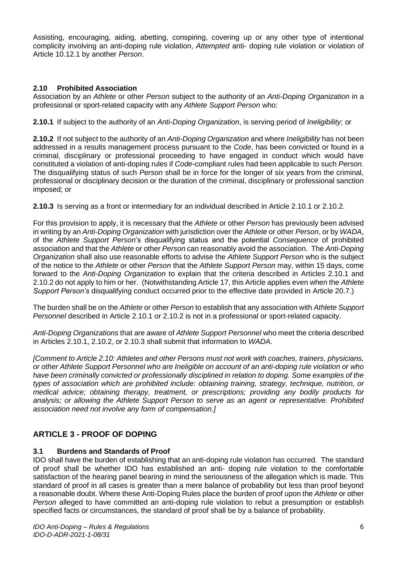Assisting, encouraging, aiding, abetting, conspiring, covering up or any other type of intentional complicity involving an anti-doping rule violation, *Attempted* anti- doping rule violation or violation of Article 10.12.1 by another *Person*.

# **2.10 Prohibited Association**

Association by an *Athlete* or other *Person* subject to the authority of an *Anti-Doping Organization* in a professional or sport-related capacity with any *Athlete Support Person* who:

**2.10.1** If subject to the authority of an *Anti-Doping Organization*, is serving period of *Ineligibility*; or

**2.10.2** If not subject to the authority of an *Anti-Doping Organization* and where *Ineligibility* has not been addressed in a results management process pursuant to the *Code*, has been convicted or found in a criminal, disciplinary or professional proceeding to have engaged in conduct which would have constituted a violation of anti-doping rules if *Code*-compliant rules had been applicable to such *Person.*  The disqualifying status of such *Person* shall be in force for the longer of six years from the criminal, professional or disciplinary decision or the duration of the criminal, disciplinary or professional sanction imposed; or

**2.10.3** Is serving as a front or intermediary for an individual described in Article 2.10.1 or 2.10.2.

For this provision to apply, it is necessary that the *Athlete* or other *Person* has previously been advised in writing by an *Anti-Doping Organization* with jurisdiction over the *Athlete* or other *Person*, or by *WADA*, of the *Athlete Support Person*'s disqualifying status and the potential *Consequence* of prohibited association and that the *Athlete* or other *Person* can reasonably avoid the association. The *Anti-Doping Organization* shall also use reasonable efforts to advise the *Athlete Support Person* who is the subject of the notice to the *Athlete* or other *Person* that the *Athlete Support Person* may, within 15 days, come forward to the *Anti-Doping Organization* to explain that the criteria described in Articles 2.10.1 and 2.10.2 do not apply to him or her. (Notwithstanding Article 17, this Article applies even when the *Athlete Support Person's* disqualifying conduct occurred prior to the effective date provided in Article 20.7.)

The burden shall be on the *Athlete* or other *Person* to establish that any association with *Athlete Support Personnel* described in Article 2.10.1 or 2.10.2 is not in a professional or sport-related capacity.

*Anti-Doping Organizations* that are aware of *Athlete Support Personnel* who meet the criteria described in Articles 2.10.1, 2.10.2, or 2.10.3 shall submit that information to *WADA*.

*[Comment to Article 2.10: Athletes and other Persons must not work with coaches, trainers, physicians, or other Athlete Support Personnel who are Ineligible on account of an anti-doping rule violation or who have been criminally convicted or professionally disciplined in relation to doping. Some examples of the types of association which are prohibited include: obtaining training, strategy, technique, nutrition, or medical advice; obtaining therapy, treatment, or prescriptions; providing any bodily products for analysis; or allowing the Athlete Support Person to serve as an agent or representative. Prohibited association need not involve any form of compensation.]* 

# <span id="page-6-0"></span>**ARTICLE 3 - PROOF OF DOPING**

# **3.1 Burdens and Standards of Proof**

IDO shall have the burden of establishing that an anti-doping rule violation has occurred. The standard of proof shall be whether IDO has established an anti- doping rule violation to the comfortable satisfaction of the hearing panel bearing in mind the seriousness of the allegation which is made. This standard of proof in all cases is greater than a mere balance of probability but less than proof beyond a reasonable doubt. Where these Anti-Doping Rules place the burden of proof upon the *Athlete* or other *Person* alleged to have committed an anti-doping rule violation to rebut a presumption or establish specified facts or circumstances, the standard of proof shall be by a balance of probability.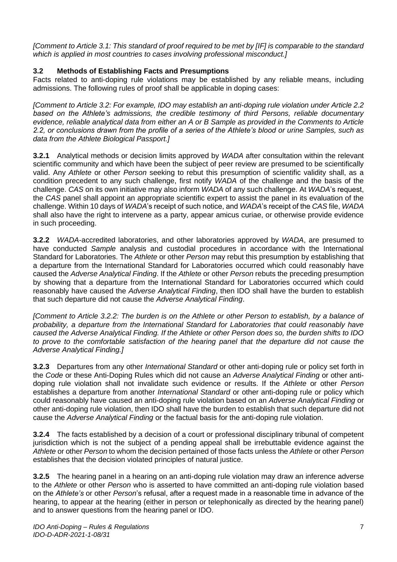*[Comment to Article 3.1: This standard of proof required to be met by [IF] is comparable to the standard which is applied in most countries to cases involving professional misconduct.]* 

# **3.2 Methods of Establishing Facts and Presumptions**

Facts related to anti-doping rule violations may be established by any reliable means, including admissions. The following rules of proof shall be applicable in doping cases:

*[Comment to Article 3.2: For example, IDO may establish an anti-doping rule violation under Article 2.2 based on the Athlete's admissions, the credible testimony of third Persons, reliable documentary evidence, reliable analytical data from either an A or B Sample as provided in the Comments to Article 2.2, or conclusions drawn from the profile of a series of the Athlete's blood or urine Samples, such as data from the Athlete Biological Passport.]* 

**3.2.1** Analytical methods or decision limits approved by *WADA* after consultation within the relevant scientific community and which have been the subject of peer review are presumed to be scientifically valid. Any *Athlete* or other *Person* seeking to rebut this presumption of scientific validity shall, as a condition precedent to any such challenge, first notify *WADA* of the challenge and the basis of the challenge. *CAS* on its own initiative may also inform *WADA* of any such challenge. At *WADA*'s request, the *CAS* panel shall appoint an appropriate scientific expert to assist the panel in its evaluation of the challenge. Within 10 days of *WADA*'s receipt of such notice, and *WADA*'s receipt of the *CAS* file, *WADA*  shall also have the right to intervene as a party, appear amicus curiae, or otherwise provide evidence in such proceeding.

**3.2.2** *WADA*-accredited laboratories, and other laboratories approved by *WADA*, are presumed to have conducted *Sample* analysis and custodial procedures in accordance with the International Standard for Laboratories. The *Athlete* or other *Person* may rebut this presumption by establishing that a departure from the International Standard for Laboratories occurred which could reasonably have caused the *Adverse Analytical Finding*. If the *Athlete* or other *Person* rebuts the preceding presumption by showing that a departure from the International Standard for Laboratories occurred which could reasonably have caused the *Adverse Analytical Finding*, then IDO shall have the burden to establish that such departure did not cause the *Adverse Analytical Finding*.

*[Comment to Article 3.2.2: The burden is on the Athlete or other Person to establish, by a balance of probability, a departure from the International Standard for Laboratories that could reasonably have caused the Adverse Analytical Finding. If the Athlete or other Person does so, the burden shifts to IDO to prove to the comfortable satisfaction of the hearing panel that the departure did not cause the Adverse Analytical Finding.]* 

**3.2.3** Departures from any other *International Standard* or other anti-doping rule or policy set forth in the *Code* or these Anti-Doping Rules which did not cause an *Adverse Analytical Finding* or other antidoping rule violation shall not invalidate such evidence or results. If the *Athlete* or other *Person*  establishes a departure from another *International Standard* or other anti-doping rule or policy which could reasonably have caused an anti-doping rule violation based on an *Adverse Analytical Finding* or other anti-doping rule violation, then IDO shall have the burden to establish that such departure did not cause the *Adverse Analytical Finding* or the factual basis for the anti-doping rule violation.

**3.2.4** The facts established by a decision of a court or professional disciplinary tribunal of competent jurisdiction which is not the subject of a pending appeal shall be irrebuttable evidence against the *Athlete* or other *Person* to whom the decision pertained of those facts unless the *Athlete* or other *Person*  establishes that the decision violated principles of natural justice.

**3.2.5** The hearing panel in a hearing on an anti-doping rule violation may draw an inference adverse to the *Athlete* or other *Person* who is asserted to have committed an anti-doping rule violation based on the *Athlete's* or other *Person*'s refusal, after a request made in a reasonable time in advance of the hearing, to appear at the hearing (either in person or telephonically as directed by the hearing panel) and to answer questions from the hearing panel or IDO.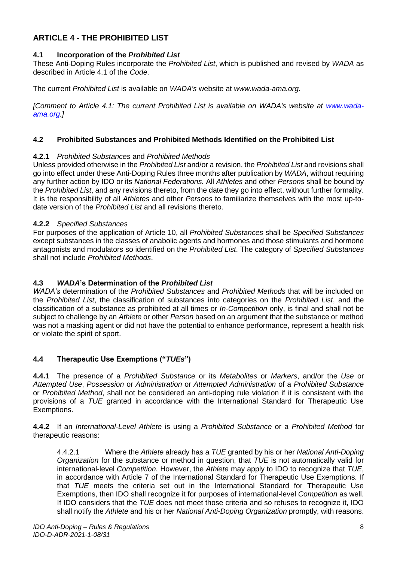# <span id="page-8-0"></span>**ARTICLE 4 - THE PROHIBITED LIST**

# **4.1 Incorporation of the** *Prohibited List*

These Anti-Doping Rules incorporate the *Prohibited List*, which is published and revised by *WADA* as described in Article 4.1 of the *Code*.

The current *Prohibited List* is available on *WADA's* website at *www.wada-ama.org.* 

*[Comment to Article 4.1: The current Prohibited List is available on WADA's website at www.wadaama.org.]* 

# **4.2 Prohibited Substances and Prohibited Methods Identified on the Prohibited List**

#### **4.2.1** *Prohibited Substances* and *Prohibited Methods*

Unless provided otherwise in the *Prohibited List* and/or a revision, the *Prohibited List* and revisions shall go into effect under these Anti-Doping Rules three months after publication by *WADA*, without requiring any further action by IDO or its *National Federations.* All *Athletes* and other *Persons* shall be bound by the *Prohibited List*, and any revisions thereto, from the date they go into effect, without further formality. It is the responsibility of all *Athletes* and other *Persons* to familiarize themselves with the most up-todate version of the *Prohibited List* and all revisions thereto.

# **4.2.2** *Specified Substances*

For purposes of the application of Article 10, all *Prohibited Substances* shall be *Specified Substances*  except substances in the classes of anabolic agents and hormones and those stimulants and hormone antagonists and modulators so identified on the *Prohibited List*. The category of *Specified Substances*  shall not include *Prohibited Methods*.

# **4.3** *WADA***'s Determination of the** *Prohibited List*

*WADA's* determination of the *Prohibited Substances* and *Prohibited Methods* that will be included on the *Prohibited List*, the classification of substances into categories on the *Prohibited List*, and the classification of a substance as prohibited at all times or *In-Competition* only, is final and shall not be subject to challenge by an *Athlete* or other *Person* based on an argument that the substance or method was not a masking agent or did not have the potential to enhance performance, represent a health risk or violate the spirit of sport.

# **4.4 Therapeutic Use Exemptions ("***TUEs***")**

**4.4.1** The presence of a *Prohibited Substance* or its *Metabolites* or *Markers*, and/or the *Use* or *Attempted Use*, *Possession* or *Administration* or *Attempted Administration* of a *Prohibited Substance*  or *Prohibited Method*, shall not be considered an anti-doping rule violation if it is consistent with the provisions of a *TUE* granted in accordance with the International Standard for Therapeutic Use Exemptions.

**4.4.2** If an *International-Level Athlete* is using a *Prohibited Substance* or a *Prohibited Method* for therapeutic reasons:

4.4.2.1 Where the *Athlete* already has a *TUE* granted by his or her *National Anti-Doping Organization* for the substance or method in question, that *TUE* is not automatically valid for international-level *Competition.* However, the *Athlete* may apply to IDO to recognize that *TUE*, in accordance with Article 7 of the International Standard for Therapeutic Use Exemptions*.* If that *TUE* meets the criteria set out in the International Standard for Therapeutic Use Exemptions, then IDO shall recognize it for purposes of international-level *Competition* as well. If IDO considers that the *TUE* does not meet those criteria and so refuses to recognize it, IDO shall notify the *Athlete* and his or her *National Anti-Doping Organization* promptly, with reasons.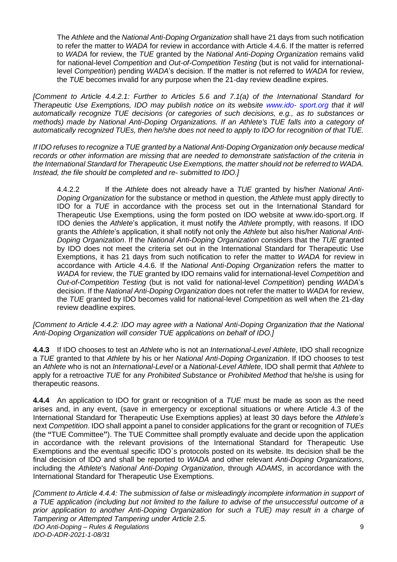The *Athlete* and the *National Anti-Doping Organization* shall have 21 days from such notification to refer the matter to *WADA* for review in accordance with Article 4.4.6. If the matter is referred to *WADA* for review, the *TUE* granted by the *National Anti-Doping Organization* remains valid for national-level *Competition* and *Out-of-Competition Testing* (but is not valid for internationallevel *Competition*) pending *WADA*'s decision. If the matter is not referred to *WADA* for review, the *TUE* becomes invalid for any purpose when the 21-day review deadline expires.

*[Comment to Article 4.4.2.1: Further to Articles 5.6 and 7.1(a) of the International Standard for Therapeutic Use Exemptions, IDO may publish notice on its website www.ido- sport.org that it will automatically recognize TUE decisions (or categories of such decisions, e.g., as to substances or methods) made by National Anti-Doping Organizations. If an Athlete's TUE falls into a category of automatically recognized TUEs, then he/she does not need to apply to IDO for recognition of that TUE.* 

*If IDO refuses to recognize a TUE granted by a National Anti-Doping Organization only because medical records or other information are missing that are needed to demonstrate satisfaction of the criteria in the International Standard for Therapeutic Use Exemptions, the matter should not be referred to WADA. Instead, the file should be completed and re- submitted to IDO.]* 

4.4.2.2 If the *Athlete* does not already have a *TUE* granted by his/her *National Anti-Doping Organization* for the substance or method in question, the *Athlete* must apply directly to IDO for a *TUE* in accordance with the process set out in the International Standard for Therapeutic Use Exemptions, using the form posted on IDO website at www.ido-sport.org. If IDO denies the *Athlete*'s application, it must notify the *Athlete* promptly, with reasons. If IDO grants the *Athlete*'s application, it shall notify not only the *Athlete* but also his/her *National Anti-Doping Organization*. If the *National Anti-Doping Organization* considers that the *TUE* granted by IDO does not meet the criteria set out in the International Standard for Therapeutic Use Exemptions, it has 21 days from such notification to refer the matter to *WADA* for review in accordance with Article 4.4.6. If the *National Anti-Doping Organization* refers the matter to *WADA* for review, the *TUE* granted by IDO remains valid for international-level *Competition* and *Out-of-Competition Testing* (but is not valid for national-level *Competition*) pending *WADA*'s decision. If the *National Anti-Doping Organization* does not refer the matter to *WADA* for review, the *TUE* granted by IDO becomes valid for national-level *Competitio*n as well when the 21-day review deadline expires.

*[Comment to Article 4.4.2: IDO may agree with a National Anti-Doping Organization that the National Anti-Doping Organization will consider TUE applications on behalf of IDO.]* 

**4.4.3** If IDO chooses to test an *Athlete* who is not an *International-Level Athlete*, IDO shall recognize a *TUE* granted to that *Athlete* by his or her *National Anti-Doping Organization*. If IDO chooses to test an *Athlete* who is not an *International-Level* or a *National-Level Athlete*, IDO shall permit that *Athlete* to apply for a retroactive *TUE* for any *Prohibited Substance* or *Prohibited Method* that he/she is using for therapeutic reasons.

**4.4.4** An application to IDO for grant or recognition of a *TUE* must be made as soon as the need arises and, in any event, (save in emergency or exceptional situations or where Article 4.3 of the International Standard for Therapeutic Use Exemptions applies) at least 30 days before the *Athlete's*  next *Competition*. IDO shall appoint a panel to consider applications for the grant or recognition of *TUEs*  (the **"**TUE Committee**"**). The TUE Committee shall promptly evaluate and decide upon the application in accordance with the relevant provisions of the International Standard for Therapeutic Use Exemptions and the eventual specific IDO`s protocols posted on its website. Its decision shall be the final decision of IDO and shall be reported to *WADA* and other relevant *Anti-Doping Organizations*, including the *Athlete*'s *National Anti-Doping Organization*, through *ADAMS*, in accordance with the International Standard for Therapeutic Use Exemptions.

*IDO Anti-Doping – Rules & Regulations IDO-D-ADR-2021-1-08/31* 9 *[Comment to Article 4.4.4: The submission of false or misleadingly incomplete information in support of a TUE application (including but not limited to the failure to advise of the unsuccessful outcome of a prior application to another Anti-Doping Organization for such a TUE) may result in a charge of Tampering or Attempted Tampering under Article 2.5.*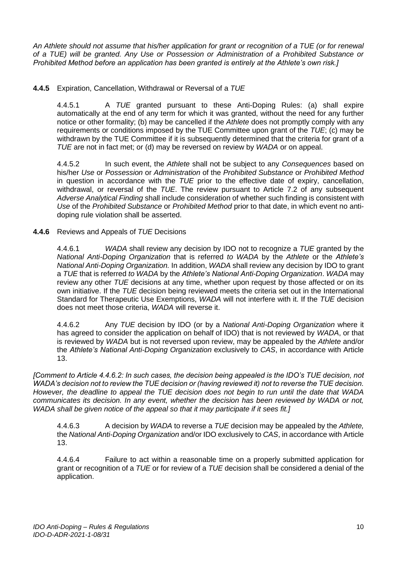*An Athlete should not assume that his/her application for grant or recognition of a TUE (or for renewal of a TUE) will be granted. Any Use or Possession or Administration of a Prohibited Substance or Prohibited Method before an application has been granted is entirely at the Athlete's own risk.]* 

# **4.4.5** Expiration, Cancellation, Withdrawal or Reversal of a *TUE*

4.4.5.1 A *TUE* granted pursuant to these Anti-Doping Rules: (a) shall expire automatically at the end of any term for which it was granted, without the need for any further notice or other formality; (b) may be cancelled if the *Athlete* does not promptly comply with any requirements or conditions imposed by the TUE Committee upon grant of the *TUE*; (c) may be withdrawn by the TUE Committee if it is subsequently determined that the criteria for grant of a *TUE* are not in fact met; or (d) may be reversed on review by *WADA* or on appeal.

4.4.5.2 In such event, the *Athlete* shall not be subject to any *Consequences* based on his/her *Use* or *Possession* or *Administration* of the *Prohibited Substance* or *Prohibited Method*  in question in accordance with the *TUE* prior to the effective date of expiry, cancellation, withdrawal, or reversal of the *TUE*. The review pursuant to Article 7.2 of any subsequent *Adverse Analytical Finding* shall include consideration of whether such finding is consistent with *Use* of the *Prohibited Substance* or *Prohibited Method* prior to that date, in which event no antidoping rule violation shall be asserted.

#### **4.4.6** Reviews and Appeals of *TUE* Decisions

4.4.6.1 *WADA* shall review any decision by IDO not to recognize a *TUE* granted by the *National Anti-Doping Organization* that is referred *to WADA* by the *Athlete* or the *Athlete's National Anti-Doping Organization.* In addition, *WADA* shall review any decision by IDO to grant a *TUE* that is referred *to WADA* by the *Athlete's National Anti-Doping Organization*. *WADA* may review any other *TUE* decisions at any time, whether upon request by those affected or on its own initiative. If the *TUE* decision being reviewed meets the criteria set out in the International Standard for Therapeutic Use Exemptions, *WADA* will not interfere with it. If the *TUE* decision does not meet those criteria, *WADA* will reverse it.

4.4.6.2 Any *TUE* decision by IDO (or by a *National Anti-Doping Organization* where it has agreed to consider the application on behalf of IDO) that is not reviewed by *WADA*, or that is reviewed by *WADA* but is not reversed upon review, may be appealed by the *Athlete* and/or the *Athlete's National Anti-Doping Organization* exclusively to *CAS*, in accordance with Article 13.

*[Comment to Article 4.4.6.2: In such cases, the decision being appealed is the IDO's TUE decision, not WADA's decision not to review the TUE decision or (having reviewed it) not to reverse the TUE decision. However, the deadline to appeal the TUE decision does not begin to run until the date that WADA communicates its decision. In any event, whether the decision has been reviewed by WADA or not, WADA shall be given notice of the appeal so that it may participate if it sees fit.]* 

4.4.6.3 A decision by *WADA* to reverse a *TUE* decision may be appealed by the *Athlete,*  the *National Anti-Doping Organization* and/or IDO exclusively to *CAS*, in accordance with Article 13.

4.4.6.4 Failure to act within a reasonable time on a properly submitted application for grant or recognition of a *TUE* or for review of a *TUE* decision shall be considered a denial of the application.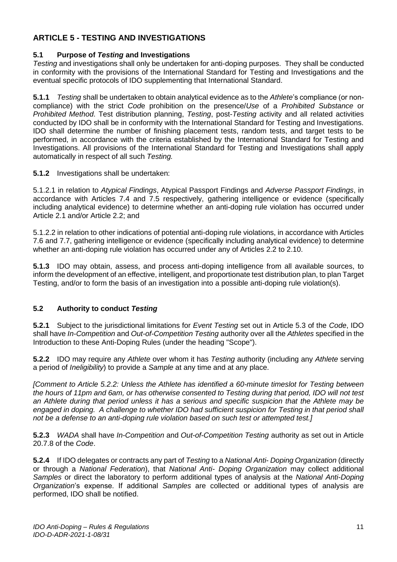# <span id="page-11-0"></span>**ARTICLE 5 - TESTING AND INVESTIGATIONS**

# **5.1 Purpose of** *Testing* **and Investigations**

*Testing* and investigations shall only be undertaken for anti-doping purposes. They shall be conducted in conformity with the provisions of the International Standard for Testing and Investigations and the eventual specific protocols of IDO supplementing that International Standard.

**5.1.1** *Testing* shall be undertaken to obtain analytical evidence as to the *Athlete*'s compliance (or noncompliance) with the strict *Cod*e prohibition on the presence/*Use* of a *Prohibited Substance* or *Prohibited Method*. Test distribution planning, *Testing*, post-*Testing* activity and all related activities conducted by IDO shall be in conformity with the International Standard for Testing and Investigations. IDO shall determine the number of finishing placement tests, random tests, and target tests to be performed, in accordance with the criteria established by the International Standard for Testing and Investigations. All provisions of the International Standard for Testing and Investigations shall apply automatically in respect of all such *Testing.* 

**5.1.2** Investigations shall be undertaken:

5.1.2.1 in relation to *Atypical Findings*, Atypical Passport Findings and *Adverse Passport Findings*, in accordance with Articles 7.4 and 7.5 respectively, gathering intelligence or evidence (specifically including analytical evidence) to determine whether an anti-doping rule violation has occurred under Article 2.1 and/or Article 2.2; and

5.1.2.2 in relation to other indications of potential anti-doping rule violations, in accordance with Articles 7.6 and 7.7, gathering intelligence or evidence (specifically including analytical evidence) to determine whether an anti-doping rule violation has occurred under any of Articles 2.2 to 2.10.

**5.1.3** IDO may obtain, assess, and process anti-doping intelligence from all available sources, to inform the development of an effective, intelligent, and proportionate test distribution plan, to plan Target Testing, and/or to form the basis of an investigation into a possible anti-doping rule violation(s).

# **5.2 Authority to conduct** *Testing*

**5.2.1** Subject to the jurisdictional limitations for *Event Testing* set out in Article 5.3 of the *Code*, IDO shall have *In-Competition* and *Out-of-Competition Testing* authority over all the *Athletes* specified in the Introduction to these Anti-Doping Rules (under the heading "Scope").

**5.2.2** IDO may require any *Athlete* over whom it has *Testing* authority (including any *Athlete* serving a period of *Ineligibility*) to provide a *Sample* at any time and at any place.

*[Comment to Article 5.2.2: Unless the Athlete has identified a 60-minute timeslot for Testing between the hours of 11pm and 6am, or has otherwise consented to Testing during that period, IDO will not test an Athlete during that period unless it has a serious and specific suspicion that the Athlete may be engaged in doping. A challenge to whether IDO had sufficient suspicion for Testing in that period shall not be a defense to an anti-doping rule violation based on such test or attempted test.]* 

**5.2.3** *WADA* shall have *In-Competition* and *Out-of-Competition Testing* authority as set out in Article 20.7.8 of the *Code*.

**5.2.4** If IDO delegates or contracts any part of *Testing* to a *National Anti- Doping Organization* (directly or through a *National Federation*), that *National Anti- Doping Organization* may collect additional *Samples* or direct the laboratory to perform additional types of analysis at the *National Anti-Doping Organization*'s expense. If additional *Samples* are collected or additional types of analysis are performed, IDO shall be notified.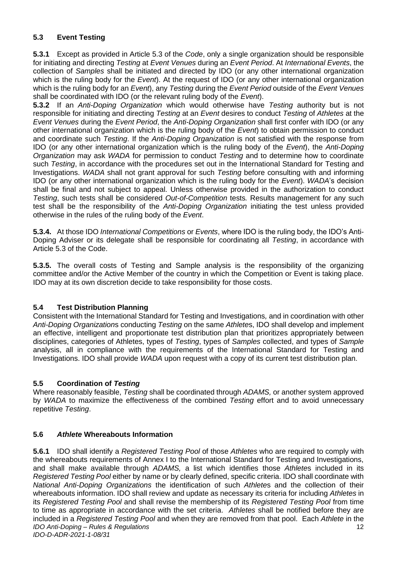# **5.3 Event Testing**

**5.3.1** Except as provided in Article 5.3 of the *Code*, only a single organization should be responsible for initiating and directing *Testing* at *Event Venues* during an *Event Period*. At *International Events*, the collection of *Samples* shall be initiated and directed by IDO (or any other international organization which is the ruling body for the *Event*). At the request of IDO (or any other international organization which is the ruling body for an *Event*), any *Testing* during the *Event Period* outside of the *Event Venues*  shall be coordinated with IDO (or the relevant ruling body of the *Event*).

**5.3.2** If an *Anti-Doping Organization* which would otherwise have *Testing* authority but is not responsible for initiating and directing *Testing* at an *Event* desires to conduct *Testing* of *Athletes* at the *Event Venues* during the *Event Period*, the *Anti-Doping Organization* shall first confer with IDO (or any other international organization which is the ruling body of the *Event*) to obtain permission to conduct and coordinate such *Testing*. If the *Anti-Doping Organization* is not satisfied with the response from IDO (or any other international organization which is the ruling body of the *Event*), the *Anti-Doping Organization* may ask *WADA* for permission to conduct *Testing* and to determine how to coordinate such *Testing*, in accordance with the procedures set out in the International Standard for Testing and Investigations. *WADA* shall not grant approval for such *Testing* before consulting with and informing IDO (or any other international organization which is the ruling body for the *Event*). *WADA*'s decision shall be final and not subject to appeal. Unless otherwise provided in the authorization to conduct *Testing*, such tests shall be considered *Out-of-Competition* tests*.* Results management for any such test shall be the responsibility of the *Anti-Doping Organization* initiating the test unless provided otherwise in the rules of the ruling body of the *Event*.

**5.3.4.** At those IDO *International Competitions* or *Events*, where IDO is the ruling body, the IDO's Anti-Doping Adviser or its delegate shall be responsible for coordinating all *Testing*, in accordance with Article 5.3 of the Code.

**5.3.5.** The overall costs of Testing and Sample analysis is the responsibility of the organizing committee and/or the Active Member of the country in which the Competition or Event is taking place. IDO may at its own discretion decide to take responsibility for those costs.

# **5.4 Test Distribution Planning**

Consistent with the International Standard for Testing and Investigations*,* and in coordination with other *Anti-Doping Organization*s conducting *Testing* on the same *Athlete*s, IDO shall develop and implement an effective, intelligent and proportionate test distribution plan that prioritizes appropriately between disciplines, categories of Athletes, types of *Testing*, types of *Samples* collected, and types of *Sample*  analysis, all in compliance with the requirements of the International Standard for Testing and Investigations. IDO shall provide *WADA* upon request with a copy of its current test distribution plan.

# **5.5 Coordination of** *Testing*

Where reasonably feasible, *Testing* shall be coordinated through *ADAMS,* or another system approved by *WADA* to maximize the effectiveness of the combined *Testing* effort and to avoid unnecessary repetitive *Testing*.

# **5.6** *Athlete* **Whereabouts Information**

*IDO Anti-Doping – Rules & Regulations IDO-D-ADR-2021-1-08/31* 12 **5.6.1** IDO shall identify a *Registered Testing Pool* of those *Athletes* who are required to comply with the whereabouts requirements of Annex I to the International Standard for Testing and Investigations, and shall make available through *ADAMS,* a list which identifies those *Athlete*s included in its *Registered Testing Pool* either by name or by clearly defined, specific criteria. IDO shall coordinate with *National Anti-Doping Organizations* the identification of such *Athlete*s and the collection of their whereabouts information. IDO shall review and update as necessary its criteria for including *Athletes* in its *Registered Testing Pool* and shall revise the membership of its *Registered Testing Pool* from time to time as appropriate in accordance with the set criteria. *Athletes* shall be notified before they are included in a *Registered Testing Pool* and when they are removed from that pool. Each *Athlete* in the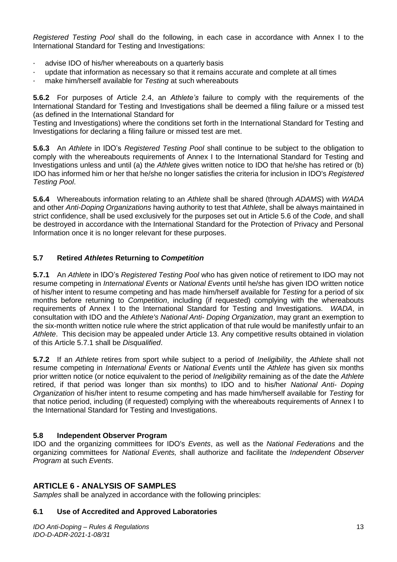*Registered Testing Pool* shall do the following, in each case in accordance with Annex I to the International Standard for Testing and Investigations:

- · advise IDO of his/her whereabouts on a quarterly basis
- · update that information as necessary so that it remains accurate and complete at all times
- · make him/herself available for *Testing* at such whereabouts

**5.6.2** For purposes of Article 2.4, an *Athlete's* failure to comply with the requirements of the International Standard for Testing and Investigations shall be deemed a filing failure or a missed test (as defined in the International Standard for

Testing and Investigations) where the conditions set forth in the International Standard for Testing and Investigations for declaring a filing failure or missed test are met.

**5.6.3** An *Athlete* in IDO's *Registered Testing Pool* shall continue to be subject to the obligation to comply with the whereabouts requirements of Annex I to the International Standard for Testing and Investigations unless and until (a) the *Athlete* gives written notice to IDO that he/she has retired or (b) IDO has informed him or her that he/she no longer satisfies the criteria for inclusion in IDO's *Registered Testing Pool*.

**5.6.4** Whereabouts information relating to an *Athlete* shall be shared (through *ADAMS*) with *WADA*  and other *Anti-Doping Organizations* having authority to test that *Athlete*, shall be always maintained in strict confidence, shall be used exclusively for the purposes set out in Article 5.6 of the *Code*, and shall be destroyed in accordance with the International Standard for the Protection of Privacy and Personal Information once it is no longer relevant for these purposes.

# **5.7 Retired** *Athletes* **Returning to** *Competition*

**5.7.1** An *Athlete* in IDO's *Registered Testing Pool* who has given notice of retirement to IDO may not resume competing in *International Events* or *National Events* until he/she has given IDO written notice of his/her intent to resume competing and has made him/herself available for *Testing* for a period of six months before returning to *Competition*, including (if requested) complying with the whereabouts requirements of Annex I to the International Standard for Testing and Investigations. *WADA*, in consultation with IDO and the *Athlete's National Anti- Doping Organization*, may grant an exemption to the six-month written notice rule where the strict application of that rule would be manifestly unfair to an *Athlete*. This decision may be appealed under Article 13. Any competitive results obtained in violation of this Article 5.7.1 shall be *Disqualified*.

**5.7.2** If an *Athlete* retires from sport while subject to a period of *Ineligibility*, the *Athlete* shall not resume competing in *International Events* or *National Events* until the *Athlete* has given six months prior written notice (or notice equivalent to the period of *Ineligibility* remaining as of the date the *Athlete*  retired, if that period was longer than six months) to IDO and to his/her *National Anti- Doping Organization* of his/her intent to resume competing and has made him/herself available for *Testing* for that notice period, including (if requested) complying with the whereabouts requirements of Annex I to the International Standard for Testing and Investigations.

#### **5.8 Independent Observer Program**

IDO and the organizing committees for IDO's *Events*, as well as the *National Federations* and the organizing committees for *National Events,* shall authorize and facilitate the *Independent Observer Program* at such *Events*.

# <span id="page-13-0"></span>**ARTICLE 6 - ANALYSIS OF SAMPLES**

*Samples* shall be analyzed in accordance with the following principles:

#### **6.1 Use of Accredited and Approved Laboratories**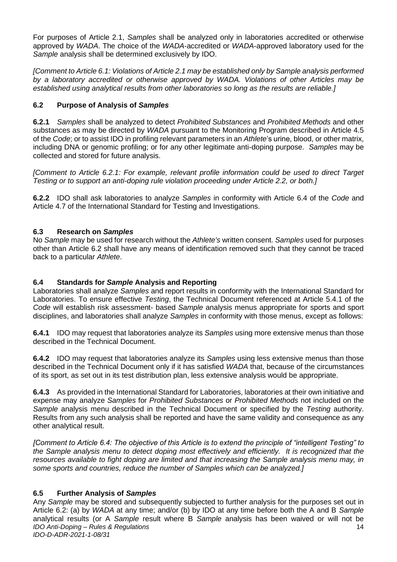For purposes of Article 2.1, *Samples* shall be analyzed only in laboratories accredited or otherwise approved by *WADA*. The choice of the *WADA*-accredited or *WADA*-approved laboratory used for the *Sample* analysis shall be determined exclusively by IDO.

*[Comment to Article 6.1: Violations of Article 2.1 may be established only by Sample analysis performed by a laboratory accredited or otherwise approved by WADA. Violations of other Articles may be established using analytical results from other laboratories so long as the results are reliable.]* 

# **6.2 Purpose of Analysis of** *Samples*

**6.2.1** *Samples* shall be analyzed to detect *Prohibited Substances* and *Prohibited Methods* and other substances as may be directed by *WADA* pursuant to the Monitoring Program described in Article 4.5 of the *Code*; or to assist IDO in profiling relevant parameters in an *Athlete*'s urine, blood, or other matrix, including DNA or genomic profiling; or for any other legitimate anti-doping purpose. *Samples* may be collected and stored for future analysis.

*[Comment to Article 6.2.1: For example, relevant profile information could be used to direct Target Testing or to support an anti-doping rule violation proceeding under Article 2.2, or both.]* 

**6.2.2** IDO shall ask laboratories to analyze *Samples* in conformity with Article 6.4 of the *Code* and Article 4.7 of the International Standard for Testing and Investigations.

# **6.3 Research on** *Samples*

No *Sample* may be used for research without the *Athlete's* written consent. *Samples* used for purposes other than Article 6.2 shall have any means of identification removed such that they cannot be traced back to a particular *Athlete*.

# **6.4 Standards for** *Sample* **Analysis and Reporting**

Laboratories shall analyze *Samples* and report results in conformity with the International Standard for Laboratories. To ensure effective *Testing*, the Technical Document referenced at Article 5.4.1 of the *Code* will establish risk assessment- based *Sample* analysis menus appropriate for sports and sport disciplines, and laboratories shall analyze *Samples* in conformity with those menus, except as follows:

**6.4.1** IDO may request that laboratories analyze its *Samples* using more extensive menus than those described in the Technical Document.

**6.4.2** IDO may request that laboratories analyze its *Samples* using less extensive menus than those described in the Technical Document only if it has satisfied *WADA* that, because of the circumstances of its sport, as set out in its test distribution plan, less extensive analysis would be appropriate.

**6.4.3** As provided in the International Standard for Laboratories, laboratories at their own initiative and expense may analyze *Samples* for *Prohibited Substances* or *Prohibited Methods* not included on the *Sample* analysis menu described in the Technical Document or specified by the *Testing* authority. Results from any such analysis shall be reported and have the same validity and consequence as any other analytical result.

*[Comment to Article 6.4: The objective of this Article is to extend the principle of "intelligent Testing" to the Sample analysis menu to detect doping most effectively and efficiently. It is recognized that the resources available to fight doping are limited and that increasing the Sample analysis menu may, in some sports and countries, reduce the number of Samples which can be analyzed.]* 

# **6.5 Further Analysis of** *Samples*

*IDO Anti-Doping – Rules & Regulations IDO-D-ADR-2021-1-08/31* 14 Any *Sample* may be stored and subsequently subjected to further analysis for the purposes set out in Article 6.2: (a) by *WADA* at any time; and/or (b) by IDO at any time before both the A and B *Sample*  analytical results (or A *Sample* result where B *Sample* analysis has been waived or will not be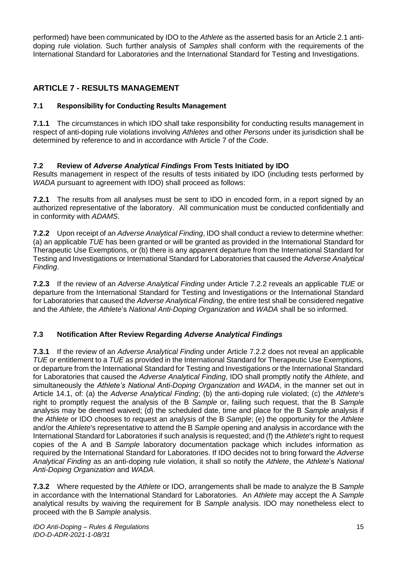performed) have been communicated by IDO to the *Athlete* as the asserted basis for an Article 2.1 antidoping rule violation. Such further analysis of *Samples* shall conform with the requirements of the International Standard for Laboratories and the International Standard for Testing and Investigations.

# <span id="page-15-0"></span>**ARTICLE 7 - RESULTS MANAGEMENT**

# **7.1 Responsibility for Conducting Results Management**

**7.1.1** The circumstances in which IDO shall take responsibility for conducting results management in respect of anti-doping rule violations involving *Athletes* and other *Persons* under its jurisdiction shall be determined by reference to and in accordance with Article 7 of the *Code*.

# **7.2 Review of** *Adverse Analytical Findings* **From Tests Initiated by IDO**

Results management in respect of the results of tests initiated by IDO (including tests performed by *WADA* pursuant to agreement with IDO) shall proceed as follows:

**7.2.1** The results from all analyses must be sent to IDO in encoded form, in a report signed by an authorized representative of the laboratory. All communication must be conducted confidentially and in conformity with *ADAMS*.

**7.2.2** Upon receipt of an *Adverse Analytical Finding*, IDO shall conduct a review to determine whether: (a) an applicable *TUE* has been granted or will be granted as provided in the International Standard for Therapeutic Use Exemptions, or (b) there is any apparent departure from the International Standard for Testing and Investigations or International Standard for Laboratories that caused the *Adverse Analytical Finding*.

**7.2.3** If the review of an *Adverse Analytical Finding* under Article 7.2.2 reveals an applicable *TUE* or departure from the International Standard for Testing and Investigations or the International Standard for Laboratories that caused the *Adverse Analytical Finding*, the entire test shall be considered negative and the *Athlete*, the *Athlete*'s *National Anti-Doping Organization* and *WADA* shall be so informed.

# **7.3 Notification After Review Regarding** *Adverse Analytical Findings*

**7.3.1** If the review of an *Adverse Analytical Finding* under Article 7.2.2 does not reveal an applicable *TUE* or entitlement to a *TUE* as provided in the International Standard for Therapeutic Use Exemptions, or departure from the International Standard for Testing and Investigations or the International Standard for Laboratories that caused the *Adverse Analytical Finding*, IDO shall promptly notify the *Athlete*, and simultaneously the *Athlete's National Anti-Doping Organization* and *WADA*, in the manner set out in Article 14.1, of: (a) the *Adverse Analytical Finding*; (b) the anti-doping rule violated; (c) the *Athlete*'s right to promptly request the analysis of the B *Sample* or, failing such request, that the B *Sample*  analysis may be deemed waived; (d) the scheduled date, time and place for the B *Sample* analysis if the *Athlete* or IDO chooses to request an analysis of the B *Sample*; (e) the opportunity for the *Athlete*  and/or the *Athlete*'s representative to attend the B *Sample* opening and analysis in accordance with the International Standard for Laboratories if such analysis is requested; and (f) the *Athlete*'s right to request copies of the A and B *Sample* laboratory documentation package which includes information as required by the International Standard for Laboratories. If IDO decides not to bring forward the *Adverse Analytical Finding* as an anti-doping rule violation, it shall so notify the *Athlete*, the *Athlete*'s *National Anti-Doping Organization* and *WADA*.

**7.3.2** Where requested by the *Athlete* or IDO, arrangements shall be made to analyze the B *Sample*  in accordance with the International Standard for Laboratories. An *Athlete* may accept the A *Sample*  analytical results by waiving the requirement for B *Sample* analysis. IDO may nonetheless elect to proceed with the B *Sample* analysis.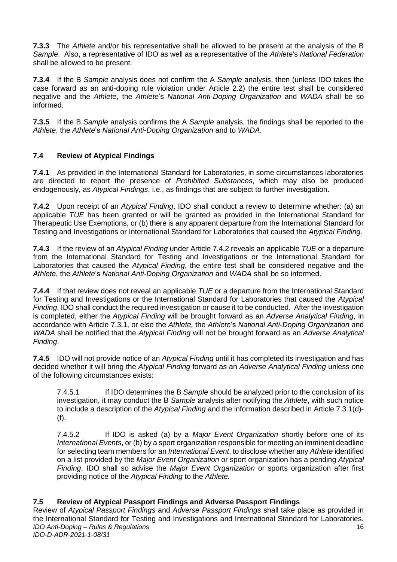**7.3.3** The *Athlete* and/or his representative shall be allowed to be present at the analysis of the B *Sample*. Also, a representative of IDO as well as a representative of the *Athlete*'s *National Federation*  shall be allowed to be present.

**7.3.4** If the B *Sample* analysis does not confirm the A *Sample* analysis, then (unless IDO takes the case forward as an anti-doping rule violation under Article 2.2) the entire test shall be considered negative and the *Athlete*, the *Athlete*'s *National Anti-Doping Organization* and *WADA* shall be so informed.

**7.3.5** If the B *Sample* analysis confirms the A *Sample* analysis, the findings shall be reported to the *Athlete*, the *Athlete*'s *National Anti-Doping Organization* and to *WADA*.

# **7.4 Review of Atypical Findings**

**7.4.1** As provided in the International Standard for Laboratories, in some circumstances laboratories are directed to report the presence of *Prohibited Substances*, which may also be produced endogenously, as *Atypical Findings*, i.e., as findings that are subject to further investigation.

**7.4.2** Upon receipt of an *Atypical Finding*, IDO shall conduct a review to determine whether: (a) an applicable *TUE* has been granted or will be granted as provided in the International Standard for Therapeutic Use Exemptions, or (b) there is any apparent departure from the International Standard for Testing and Investigations or International Standard for Laboratories that caused the *Atypical Finding.* 

**7.4.3** If the review of an *Atypical Finding* under Article 7.4.2 reveals an applicable *TUE* or a departure from the International Standard for Testing and Investigations or the International Standard for Laboratories that caused the *Atypical Finding*, the entire test shall be considered negative and the *Athlete*, the *Athlete*'s *National Anti-Doping Organization* and *WADA* shall be so informed.

**7.4.4** If that review does not reveal an applicable *TUE* or a departure from the International Standard for Testing and Investigations or the International Standard for Laboratories that caused the *Atypical Finding*, IDO shall conduct the required investigation or cause it to be conducted. After the investigation is completed, either the *Atypical Finding* will be brought forward as an *Adverse Analytical Finding*, in accordance with Article 7.3.1, or else the *Athlete,* the *Athlete*'s *National Anti-Doping Organization* and *WADA* shall be notified that the *Atypical Finding* will not be brought forward as an *Adverse Analytical Finding*.

**7.4.5** IDO will not provide notice of an *Atypical Finding* until it has completed its investigation and has decided whether it will bring the *Atypical Finding* forward as an *Adverse Analytical Finding* unless one of the following circumstances exists:

7.4.5.1 If IDO determines the B *Sample* should be analyzed prior to the conclusion of its investigation, it may conduct the B *Sample* analysis after notifying the *Athlete*, with such notice to include a description of the *Atypical Finding* and the information described in Article 7.3.1(d)- (f).

7.4.5.2 If IDO is asked (a) by a *Major Event Organization* shortly before one of its *International Events*, or (b) by a sport organization responsible for meeting an imminent deadline for selecting team members for an *International Event*, to disclose whether any *Athlete* identified on a list provided by the *Major Event Organization* or sport organization has a pending *Atypical Finding*, IDO shall so advise the *Major Event Organization* or sports organization after first providing notice of the *Atypical Finding* to the *Athlete.* 

# **7.5 Review of Atypical Passport Findings and Adverse Passport Findings**

*IDO Anti-Doping – Rules & Regulations IDO-D-ADR-2021-1-08/31* 16 Review of *Atypical Passport Findings* and *Adverse Passport Findings* shall take place as provided in the International Standard for Testing and Investigations and International Standard for Laboratories.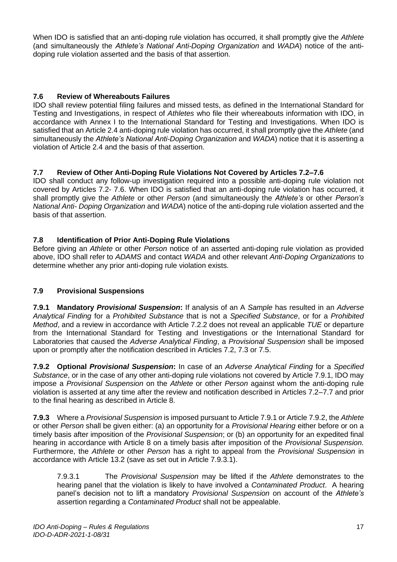When IDO is satisfied that an anti-doping rule violation has occurred, it shall promptly give the *Athlete*  (and simultaneously the *Athlete's National Anti-Doping Organization* and *WADA*) notice of the antidoping rule violation asserted and the basis of that assertion.

# **7.6 Review of Whereabouts Failures**

IDO shall review potential filing failures and missed tests, as defined in the International Standard for Testing and Investigations, in respect of *Athletes* who file their whereabouts information with IDO, in accordance with Annex I to the International Standard for Testing and Investigations. When IDO is satisfied that an Article 2.4 anti-doping rule violation has occurred, it shall promptly give the *Athlete* (and simultaneously the *Athlete's National Anti-Doping Organization* and *WADA*) notice that it is asserting a violation of Article 2.4 and the basis of that assertion.

# **7.7 Review of Other Anti-Doping Rule Violations Not Covered by Articles 7.2–7.6**

IDO shall conduct any follow-up investigation required into a possible anti-doping rule violation not covered by Articles 7.2- 7.6. When IDO is satisfied that an anti-doping rule violation has occurred, it shall promptly give the *Athlete* or other *Person* (and simultaneously the *Athlete's* or other *Person's National Anti- Doping Organization* and *WADA*) notice of the anti-doping rule violation asserted and the basis of that assertion.

# **7.8 Identification of Prior Anti-Doping Rule Violations**

Before giving an *Athlete* or other *Person* notice of an asserted anti-doping rule violation as provided above, IDO shall refer to *ADAMS* and contact *WADA* and other relevant *Anti-Doping Organizations* to determine whether any prior anti-doping rule violation exists.

# **7.9 Provisional Suspensions**

**7.9.1 Mandatory** *Provisional Suspension***:** If analysis of an A *Sample* has resulted in an *Adverse Analytical Finding* for a *Prohibited Substance* that is not a *Specified Substance*, or for a *Prohibited Method*, and a review in accordance with Article 7.2.2 does not reveal an applicable *TUE* or departure from the International Standard for Testing and Investigations or the International Standard for Laboratories that caused the *Adverse Analytical Finding*, a *Provisional Suspension* shall be imposed upon or promptly after the notification described in Articles 7.2, 7.3 or 7.5.

**7.9.2 Optional** *Provisional Suspension***:** In case of an *Adverse Analytical Finding* for a *Specified Substance*, or in the case of any other anti-doping rule violations not covered by Article 7.9.1, IDO may impose a *Provisional Suspension* on the *Athlete* or other *Person* against whom the anti-doping rule violation is asserted at any time after the review and notification described in Articles 7.2–7.7 and prior to the final hearing as described in Article 8.

**7.9.3** Where a *Provisional Suspension* is imposed pursuant to Article 7.9.1 or Article 7.9.2, the *Athlete*  or other *Person* shall be given either: (a) an opportunity for a *Provisional Hearing* either before or on a timely basis after imposition of the *Provisional Suspension*; or (b) an opportunity for an expedited final hearing in accordance with Article 8 on a timely basis after imposition of the *Provisional Suspension.*  Furthermore, the *Athlete* or other *Person* has a right to appeal from the *Provisional Suspension* in accordance with Article 13.2 (save as set out in Article 7.9.3.1).

7.9.3.1 The *Provisional Suspension* may be lifted if the *Athlete* demonstrates to the hearing panel that the violation is likely to have involved a *Contaminated Product*. A hearing panel's decision not to lift a mandatory *Provisional Suspension* on account of the *Athlete's*  assertion regarding a *Contaminated Product* shall not be appealable.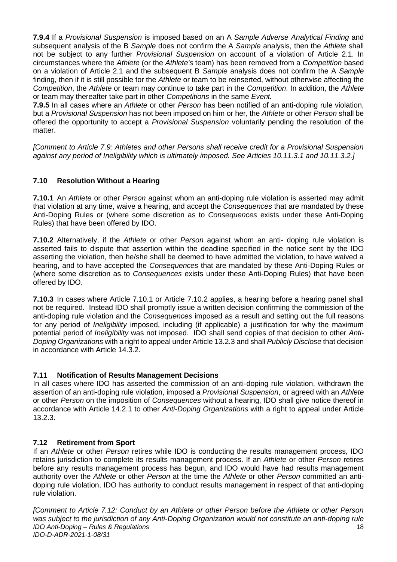**7.9.4** If a *Provisional Suspension* is imposed based on an A *Sample Adverse Analytical Finding* and subsequent analysis of the B *Sample* does not confirm the A *Sample* analysis, then the *Athlete* shall not be subject to any further *Provisional Suspension* on account of a violation of Article 2.1. In circumstances where the *Athlete* (or the *Athlete's* team) has been removed from a *Competition* based on a violation of Article 2.1 and the subsequent B *Sample* analysis does not confirm the A *Sample*  finding, then if it is still possible for the *Athlete* or team to be reinserted, without otherwise affecting the *Competition*, the *Athlete* or team may continue to take part in the *Competition*. In addition, the *Athlete*  or team may thereafter take part in other *Competitions* in the same *Event.* 

**7.9.5** In all cases where an *Athlete* or other *Person* has been notified of an anti-doping rule violation, but a *Provisional Suspension* has not been imposed on him or her, the *Athlete* or other *Person* shall be offered the opportunity to accept a *Provisional Suspension* voluntarily pending the resolution of the matter.

*[Comment to Article 7.9: Athletes and other Persons shall receive credit for a Provisional Suspension against any period of Ineligibility which is ultimately imposed. See Articles 10.11.3.1 and 10.11.3.2.]* 

# **7.10 Resolution Without a Hearing**

**7.10.1** An *Athlete* or other *Person* against whom an anti-doping rule violation is asserted may admit that violation at any time, waive a hearing, and accept the *Consequences* that are mandated by these Anti-Doping Rules or (where some discretion as to *Consequences* exists under these Anti-Doping Rules) that have been offered by IDO.

**7.10.2** Alternatively, if the *Athlete* or other *Person* against whom an anti- doping rule violation is asserted fails to dispute that assertion within the deadline specified in the notice sent by the IDO asserting the violation, then he/she shall be deemed to have admitted the violation, to have waived a hearing, and to have accepted the *Consequences* that are mandated by these Anti-Doping Rules or (where some discretion as to *Consequences* exists under these Anti-Doping Rules) that have been offered by IDO.

**7.10.3** In cases where Article 7.10.1 or Article 7.10.2 applies, a hearing before a hearing panel shall not be required. Instead IDO shall promptly issue a written decision confirming the commission of the anti-doping rule violation and the *Consequences* imposed as a result and setting out the full reasons for any period of *Ineligibility* imposed, including (if applicable) a justification for why the maximum potential period of *Ineligibility* was not imposed. IDO shall send copies of that decision to other *Anti-Doping Organizations* with a right to appeal under Article 13.2.3 and shall *Publicly Disclose* that decision in accordance with Article 14.3.2.

# **7.11 Notification of Results Management Decisions**

In all cases where IDO has asserted the commission of an anti-doping rule violation, withdrawn the assertion of an anti-doping rule violation, imposed a *Provisional Suspension*, or agreed with an *Athlete*  or other *Person* on the imposition of *Consequences* without a hearing, IDO shall give notice thereof in accordance with Article 14.2.1 to other *Anti-Doping Organizations* with a right to appeal under Article 13.2.3.

# **7.12 Retirement from Sport**

If an *Athlete* or other *Person* retires while IDO is conducting the results management process, IDO retains jurisdiction to complete its results management process. If an *Athlete* or other *Person* retires before any results management process has begun, and IDO would have had results management authority over the *Athlete* or other *Person* at the time the *Athlete* or other *Person* committed an antidoping rule violation, IDO has authority to conduct results management in respect of that anti-doping rule violation.

*IDO Anti-Doping – Rules & Regulations IDO-D-ADR-2021-1-08/31* 18 *[Comment to Article 7.12: Conduct by an Athlete or other Person before the Athlete or other Person was subject to the jurisdiction of any Anti-Doping Organization would not constitute an anti-doping rule*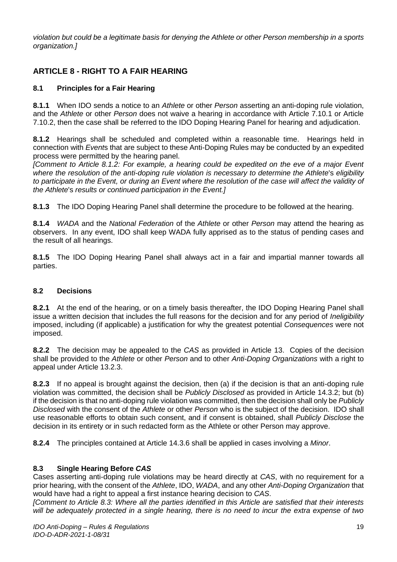*violation but could be a legitimate basis for denying the Athlete or other Person membership in a sports organization.]* 

# <span id="page-19-0"></span>**ARTICLE 8 - RIGHT TO A FAIR HEARING**

# **8.1 Principles for a Fair Hearing**

**8.1.1** When IDO sends a notice to an *Athlete* or other *Person* asserting an anti-doping rule violation, and the *Athlete* or other *Person* does not waive a hearing in accordance with Article 7.10.1 or Article 7.10.2, then the case shall be referred to the IDO Doping Hearing Panel for hearing and adjudication.

**8.1.2** Hearings shall be scheduled and completed within a reasonable time. Hearings held in connection with *Event*s that are subject to these Anti-Doping Rules may be conducted by an expedited process were permitted by the hearing panel.

*[Comment to Article 8.1.2: For example, a hearing could be expedited on the eve of a major Event where the resolution of the anti-doping rule violation is necessary to determine the Athlete*'s *eligibility*  to participate in the Event, or during an Event where the resolution of the case will affect the validity of *the Athlete*'s *results or continued participation in the Event.]* 

**8.1.3** The IDO Doping Hearing Panel shall determine the procedure to be followed at the hearing.

**8.1.4** *WADA* and the *National Federation* of the *Athlete* or other *Person* may attend the hearing as observers. In any event, IDO shall keep WADA fully apprised as to the status of pending cases and the result of all hearings.

**8.1.5** The IDO Doping Hearing Panel shall always act in a fair and impartial manner towards all parties.

# **8.2 Decisions**

**8.2.1** At the end of the hearing, or on a timely basis thereafter, the IDO Doping Hearing Panel shall issue a written decision that includes the full reasons for the decision and for any period of *Ineligibility*  imposed, including (if applicable) a justification for why the greatest potential *Consequences* were not imposed.

**8.2.2** The decision may be appealed to the *CAS* as provided in Article 13. Copies of the decision shall be provided to the *Athlete* or other *Person* and to other *Anti-Doping Organizations* with a right to appeal under Article 13.2.3.

**8.2.3** If no appeal is brought against the decision, then (a) if the decision is that an anti-doping rule violation was committed, the decision shall be *Publicly Disclosed* as provided in Article 14.3.2; but (b) if the decision is that no anti-doping rule violation was committed, then the decision shall only be *Publicly Disclosed* with the consent of the *Athlete* or other *Person* who is the subject of the decision. IDO shall use reasonable efforts to obtain such consent, and if consent is obtained, shall *Publicly Disclose* the decision in its entirety or in such redacted form as the Athlete or other Person may approve.

**8.2.4** The principles contained at Article 14.3.6 shall be applied in cases involving a *Minor*.

# **8.3 Single Hearing Before** *CAS*

Cases asserting anti-doping rule violations may be heard directly at *CAS*, with no requirement for a prior hearing, with the consent of the *Athlete*, IDO, *WADA*, and any other *Anti-Doping Organization* that would have had a right to appeal a first instance hearing decision to *CAS*.

*[Comment to Article 8.3: Where all the parties identified in this Article are satisfied that their interests will be adequately protected in a single hearing, there is no need to incur the extra expense of two*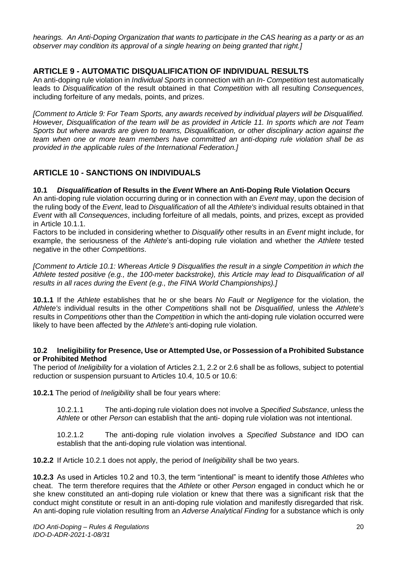*hearings. An Anti-Doping Organization that wants to participate in the CAS hearing as a party or as an observer may condition its approval of a single hearing on being granted that right.]* 

# <span id="page-20-0"></span>**ARTICLE 9 - AUTOMATIC DISQUALIFICATION OF INDIVIDUAL RESULTS**

An anti-doping rule violation in *Individual Sports* in connection with an *In- Competition* test automatically leads to *Disqualification* of the result obtained in that *Competition* with all resulting *Consequences*, including forfeiture of any medals, points, and prizes.

*[Comment to Article 9: For Team Sports, any awards received by individual players will be Disqualified. However, Disqualification of the team will be as provided in Article 11. In sports which are not Team Sports but where awards are given to teams, Disqualification, or other disciplinary action against the team when one or more team members have committed an anti-doping rule violation shall be as provided in the applicable rules of the International Federation.]* 

# <span id="page-20-1"></span>**ARTICLE 10 - SANCTIONS ON INDIVIDUALS**

# **10.1** *Disqualification* **of Results in the** *Event* **Where an Anti-Doping Rule Violation Occurs**

An anti-doping rule violation occurring during or in connection with an *Event* may, upon the decision of the ruling body of the *Event*, lead to *Disqualification* of all the *Athlete's* individual results obtained in that *Event* with all *Consequences*, including forfeiture of all medals, points, and prizes, except as provided in Article 10.1.1.

Factors to be included in considering whether to *Disqualify* other results in an *Event* might include, for example, the seriousness of the *Athlete*'s anti-doping rule violation and whether the *Athlete* tested negative in the other *Competitions*.

*[Comment to Article 10.1: Whereas Article 9 Disqualifies the result in a single Competition in which the Athlete tested positive (e.g., the 100-meter backstroke), this Article may lead to Disqualification of all results in all races during the Event (e.g., the FINA World Championships).]* 

**10.1.1** If the *Athlete* establishes that he or she bears *No Fault or Negligence* for the violation, the *Athlete's* individual results in the other *Competition*s shall not be *Disqualified*, unless the *Athlete's*  results in *Competition*s other than the *Competition* in which the anti-doping rule violation occurred were likely to have been affected by the *Athlete's* anti-doping rule violation.

#### **10.2 Ineligibility for Presence, Use or Attempted Use, or Possession of a Prohibited Substance or Prohibited Method**

The period of *Ineligibility* for a violation of Articles 2.1, 2.2 or 2.6 shall be as follows, subject to potential reduction or suspension pursuant to Articles 10.4, 10.5 or 10.6:

**10.2.1** The period of *Ineligibility* shall be four years where:

10.2.1.1 The anti-doping rule violation does not involve a *Specified Substance*, unless the *Athlete* or other *Person* can establish that the anti- doping rule violation was not intentional.

10.2.1.2 The anti-doping rule violation involves a *Specified Substance* and IDO can establish that the anti-doping rule violation was intentional.

**10.2.2** If Article 10.2.1 does not apply, the period of *Ineligibility* shall be two years.

**10.2.3** As used in Articles 10.2 and 10.3, the term "intentional" is meant to identify those *Athletes* who cheat. The term therefore requires that the *Athlete* or other *Person* engaged in conduct which he or she knew constituted an anti-doping rule violation or knew that there was a significant risk that the conduct might constitute or result in an anti-doping rule violation and manifestly disregarded that risk. An anti-doping rule violation resulting from an *Adverse Analytical Finding* for a substance which is only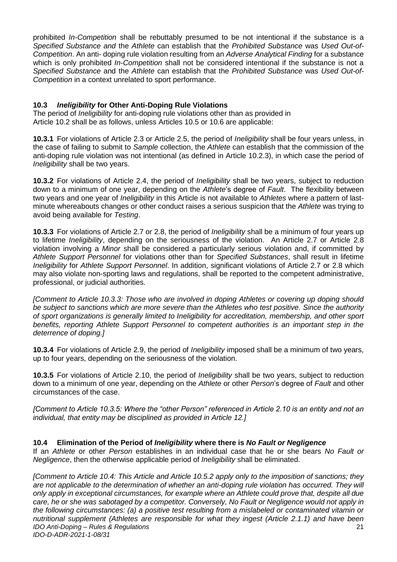prohibited *In-Competition* shall be rebuttably presumed to be not intentional if the substance is a *Specified Substance and* the *Athlete* can establish that the *Prohibited Substance* was *Used Out-of-Competition*. An anti- doping rule violation resulting from an *Adverse Analytical Finding* for a substance which is only prohibited *In-Competition* shall not be considered intentional if the substance is not a *Specified Substance* and the *Athlete* can establish that the *Prohibited Substance* was *Used Out-of-Competition* in a context unrelated to sport performance.

### **10.3** *Ineligibility* **for Other Anti-Doping Rule Violations**

The period of *Ineligibility* for anti-doping rule violations other than as provided in Article 10.2 shall be as follows, unless Articles 10.5 or 10.6 are applicable:

**10.3.1** For violations of Article 2.3 or Article 2.5, the period of *Ineligibility* shall be four years unless, in the case of failing to submit to *Sample* collection, the *Athlete* can establish that the commission of the anti-doping rule violation was not intentional (as defined in Article 10.2.3), in which case the period of *Ineligibility* shall be two years.

**10.3.2** For violations of Article 2.4, the period of *Ineligibility* shall be two years, subject to reduction down to a minimum of one year, depending on the *Athlete*'s degree of *Fault*. The flexibility between two years and one year of *Ineligibility* in this Article is not available to *Athletes* where a pattern of lastminute whereabouts changes or other conduct raises a serious suspicion that the *Athlete* was trying to avoid being available for *Testing*.

**10.3.3** For violations of Article 2.7 or 2.8, the period of *Ineligibility* shall be a minimum of four years up to lifetime *Ineligibility*, depending on the seriousness of the violation. An Article 2.7 or Article 2.8 violation involving a *Minor* shall be considered a particularly serious violation and, if committed by *Athlete Support Personnel* for violations other than for *Specified Substances*, shall result in lifetime *Ineligibility* for *Athlete Support Personnel*. In addition, significant violations of Article 2.7 or 2.8 which may also violate non-sporting laws and regulations, shall be reported to the competent administrative, professional, or judicial authorities.

*[Comment to Article 10.3.3: Those who are involved in doping Athletes or covering up doping should be subject to sanctions which are more severe than the Athletes who test positive. Since the authority of sport organizations is generally limited to Ineligibility for accreditation, membership, and other sport benefits, reporting Athlete Support Personnel to competent authorities is an important step in the deterrence of doping.]* 

**10.3.4** For violations of Article 2.9, the period of *Ineligibility* imposed shall be a minimum of two years, up to four years, depending on the seriousness of the violation.

**10.3.5** For violations of Article 2.10, the period of *Ineligibility* shall be two years, subject to reduction down to a minimum of one year, depending on the *Athlete* or other *Person*'s degree of *Fault* and other circumstances of the case.

*[Comment to Article 10.3.5: Where the "other Person" referenced in Article 2.10 is an entity and not an individual, that entity may be disciplined as provided in Article 12.]* 

#### **10.4 Elimination of the Period of** *Ineligibility* **where there is** *No Fault or Negligence*

If an *Athlete* or other *Person* establishes in an individual case that he or she bears *No Fault or Negligence*, then the otherwise applicable period of *Ineligibility* shall be eliminated.

*IDO Anti-Doping – Rules & Regulations IDO-D-ADR-2021-1-08/31* 21 *[Comment to Article 10.4: This Article and Article 10.5.2 apply only to the imposition of sanctions; they*  are not applicable to the determination of whether an anti-doping rule violation has occurred. They will *only apply in exceptional circumstances, for example where an Athlete could prove that, despite all due care, he or she was sabotaged by a competitor. Conversely, No Fault or Negligence would not apply in the following circumstances: (a) a positive test resulting from a mislabeled or contaminated vitamin or nutritional supplement (Athletes are responsible for what they ingest (Article 2.1.1) and have been*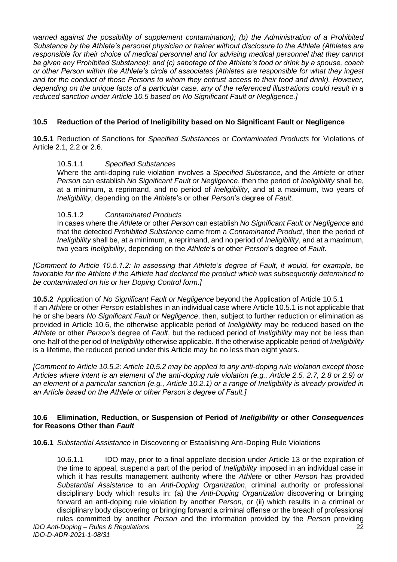*warned against the possibility of supplement contamination); (b) the Administration of a Prohibited Substance by the Athlete's personal physician or trainer without disclosure to the Athlete (Athletes are responsible for their choice of medical personnel and for advising medical personnel that they cannot be given any Prohibited Substance); and (c) sabotage of the Athlete's food or drink by a spouse, coach or other Person within the Athlete's circle of associates (Athletes are responsible for what they ingest and for the conduct of those Persons to whom they entrust access to their food and drink). However, depending on the unique facts of a particular case, any of the referenced illustrations could result in a reduced sanction under Article 10.5 based on No Significant Fault or Negligence.]* 

# **10.5 Reduction of the Period of Ineligibility based on No Significant Fault or Negligence**

**10.5.1** Reduction of Sanctions for *Specified Substances* or *Contaminated Products* for Violations of Article 2.1, 2.2 or 2.6.

#### 10.5.1.1 *Specified Substances*

Where the anti-doping rule violation involves a *Specified Substance*, and the *Athlete* or other *Person* can establish *No Significant Fault or Negligence*, then the period of *Ineligibility* shall be, at a minimum, a reprimand, and no period of *Ineligibility*, and at a maximum, two years of *Ineligibility*, depending on the *Athlete*'s or other *Person*'s degree of *Fault*.

#### 10.5.1.2 *Contaminated Products*

In cases where the *Athlete* or other *Person* can establish *No Significant Fault or Negligence* and that the detected *Prohibited Substance* came from a *Contaminated Product*, then the period of *Ineligibility* shall be, at a minimum, a reprimand, and no period of *Ineligibility*, and at a maximum, two years *Ineligibility*, depending on the *Athlete*'s or other *Person*'s degree of *Fault*.

*[Comment to Article 10.5.1.2: In assessing that Athlete's degree of Fault, it would, for example, be favorable for the Athlete if the Athlete had declared the product which was subsequently determined to be contaminated on his or her Doping Control form.]* 

**10.5.2** Application of *No Significant Fault or Negligence* beyond the Application of Article 10.5.1 If an *Athlete* or other *Person* establishes in an individual case where Article 10.5.1 is not applicable that he or she bears *No Significant Fault or Negligence*, then, subject to further reduction or elimination as provided in Article 10.6, the otherwise applicable period of *Ineligibility* may be reduced based on the *Athlete* or other *Person's* degree of *Fault*, but the reduced period of *Ineligibility* may not be less than one-half of the period of *Ineligibility* otherwise applicable. If the otherwise applicable period of *Ineligibility*  is a lifetime, the reduced period under this Article may be no less than eight years.

*[Comment to Article 10.5.2: Article 10.5.2 may be applied to any anti-doping rule violation except those Articles where intent is an element of the anti-doping rule violation (e.g., Article 2.5, 2.7, 2.8 or 2.9) or an element of a particular sanction (e.g., Article 10.2.1) or a range of Ineligibility is already provided in an Article based on the Athlete or other Person's degree of Fault.]* 

#### **10.6 Elimination, Reduction, or Suspension of Period of** *Ineligibility* **or other** *Consequences*  **for Reasons Other than** *Fault*

**10.6.1** *Substantial Assistance* in Discovering or Establishing Anti-Doping Rule Violations

10.6.1.1 IDO may, prior to a final appellate decision under Article 13 or the expiration of the time to appeal, suspend a part of the period of *Ineligibility* imposed in an individual case in which it has results management authority where the *Athlete* or other *Person* has provided *Substantial Assistance* to an *Anti-Doping Organization*, criminal authority or professional disciplinary body which results in: (a) the *Anti-Doping Organization* discovering or bringing forward an anti-doping rule violation by another *Person*, or (ii) which results in a criminal or disciplinary body discovering or bringing forward a criminal offense or the breach of professional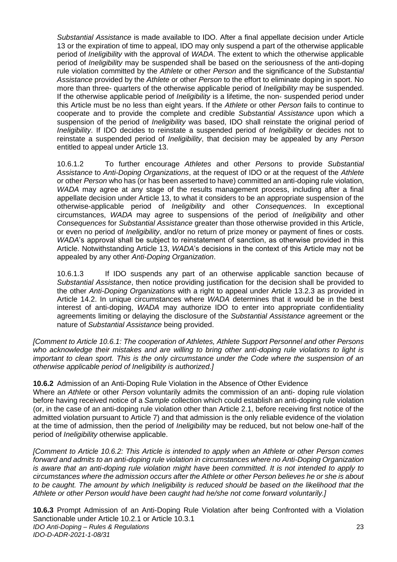*Substantial Assistance* is made available to IDO. After a final appellate decision under Article 13 or the expiration of time to appeal, IDO may only suspend a part of the otherwise applicable period of *Ineligibility* with the approval of *WADA*. The extent to which the otherwise applicable period of *Ineligibility* may be suspended shall be based on the seriousness of the anti-doping rule violation committed by the *Athlete* or other *Person* and the significance of the *Substantial Assistance* provided by the *Athlete* or other *Person* to the effort to eliminate doping in sport. No more than three- quarters of the otherwise applicable period of *Ineligibility* may be suspended. If the otherwise applicable period of *Ineligibility* is a lifetime, the non- suspended period under this Article must be no less than eight years. If the *Athlete* or other *Person* fails to continue to cooperate and to provide the complete and credible *Substantial Assistance* upon which a suspension of the period of *Ineligibility* was based, IDO shall reinstate the original period of *Ineligibility*. If IDO decides to reinstate a suspended period of *Ineligibility* or decides not to reinstate a suspended period of *Ineligibility*, that decision may be appealed by any *Person*  entitled to appeal under Article 13.

10.6.1.2 To further encourage *Athletes* and other *Persons* to provide *Substantial Assistance* to *Anti-Doping Organizations*, at the request of IDO or at the request of the *Athlete*  or other *Person* who has (or has been asserted to have) committed an anti-doping rule violation, *WADA* may agree at any stage of the results management process, including after a final appellate decision under Article 13, to what it considers to be an appropriate suspension of the otherwise-applicable period of *Ineligibility* and other *Consequences*. In exceptional circumstances, *WADA* may agree to suspensions of the period of *Ineligibility* and other *Consequences* for *Substantial Assistance* greater than those otherwise provided in this Article, or even no period of *Ineligibility*, and/or no return of prize money or payment of fines or costs. *WADA*'s approval shall be subject to reinstatement of sanction, as otherwise provided in this Article. Notwithstanding Article 13, *WADA*'s decisions in the context of this Article may not be appealed by any other *Anti-Doping Organization*.

10.6.1.3 If IDO suspends any part of an otherwise applicable sanction because of *Substantial Assistance*, then notice providing justification for the decision shall be provided to the other *Anti-Doping Organizations* with a right to appeal under Article 13.2.3 as provided in Article 14.2. In unique circumstances where *WADA* determines that it would be in the best interest of anti-doping, *WADA* may authorize IDO to enter into appropriate confidentiality agreements limiting or delaying the disclosure of the *Substantial Assistance* agreement or the nature of *Substantial Assistance* being provided.

*[Comment to Article 10.6.1: The cooperation of Athletes, Athlete Support Personnel and other Persons who acknowledge their mistakes and are willing to bring other anti-doping rule violations to light is important to clean sport. This is the only circumstance under the Code where the suspension of an otherwise applicable period of Ineligibility is authorized.]* 

**10.6.2** Admission of an Anti-Doping Rule Violation in the Absence of Other Evidence

Where an *Athlete* or other *Person* voluntarily admits the commission of an anti- doping rule violation before having received notice of a *Sample* collection which could establish an anti-doping rule violation (or, in the case of an anti-doping rule violation other than Article 2.1, before receiving first notice of the admitted violation pursuant to Article 7) and that admission is the only reliable evidence of the violation at the time of admission, then the period of *Ineligibility* may be reduced, but not below one-half of the period of *Ineligibility* otherwise applicable.

*[Comment to Article 10.6.2: This Article is intended to apply when an Athlete or other Person comes forward and admits to an anti-doping rule violation in circumstances where no Anti-Doping Organization is aware that an anti-doping rule violation might have been committed. It is not intended to apply to circumstances where the admission occurs after the Athlete or other Person believes he or she is about*  to be caught. The amount by which Ineligibility is reduced should be based on the likelihood that the *Athlete or other Person would have been caught had he/she not come forward voluntarily.]* 

*IDO Anti-Doping – Rules & Regulations IDO-D-ADR-2021-1-08/31* 23 **10.6.3** Prompt Admission of an Anti-Doping Rule Violation after being Confronted with a Violation Sanctionable under Article 10.2.1 or Article 10.3.1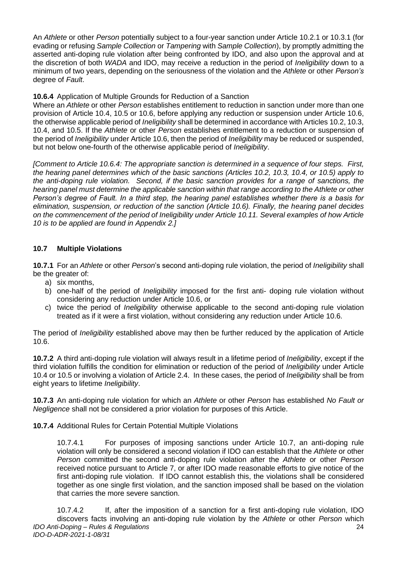An *Athlete* or other *Person* potentially subject to a four-year sanction under Article 10.2.1 or 10.3.1 (for evading or refusing *Sample Collection* or *Tampering* with *Sample Collection*), by promptly admitting the asserted anti-doping rule violation after being confronted by IDO, and also upon the approval and at the discretion of both *WADA* and IDO, may receive a reduction in the period of *Ineligibility* down to a minimum of two years, depending on the seriousness of the violation and the *Athlete* or other *Person's*  degree of *Fault*.

**10.6.4** Application of Multiple Grounds for Reduction of a Sanction

Where an *Athlete* or other *Person* establishes entitlement to reduction in sanction under more than one provision of Article 10.4, 10.5 or 10.6, before applying any reduction or suspension under Article 10.6, the otherwise applicable period of *Ineligibility* shall be determined in accordance with Articles 10.2, 10.3, 10.4, and 10.5. If the *Athlete* or other *Person* establishes entitlement to a reduction or suspension of the period of *Ineligibility* under Article 10.6, then the period of *Ineligibility* may be reduced or suspended, but not below one-fourth of the otherwise applicable period of *Ineligibility*.

*[Comment to Article 10.6.4: The appropriate sanction is determined in a sequence of four steps. First, the hearing panel determines which of the basic sanctions (Articles 10.2, 10.3, 10.4, or 10.5) apply to the anti-doping rule violation. Second, if the basic sanction provides for a range of sanctions, the hearing panel must determine the applicable sanction within that range according to the Athlete or other Person's degree of Fault. In a third step, the hearing panel establishes whether there is a basis for elimination, suspension, or reduction of the sanction (Article 10.6). Finally, the hearing panel decides on the commencement of the period of Ineligibility under Article 10.11. Several examples of how Article 10 is to be applied are found in Appendix 2.]* 

# **10.7 Multiple Violations**

**10.7.1** For an *Athlete* or other *Person*'s second anti-doping rule violation, the period of *Ineligibility* shall be the greater of:

- a) six months,
- b) one-half of the period of *Ineligibility* imposed for the first anti- doping rule violation without considering any reduction under Article 10.6, or
- c) twice the period of *Ineligibility* otherwise applicable to the second anti-doping rule violation treated as if it were a first violation, without considering any reduction under Article 10.6.

The period of *Ineligibility* established above may then be further reduced by the application of Article 10.6.

**10.7.2** A third anti-doping rule violation will always result in a lifetime period of *Ineligibility*, except if the third violation fulfills the condition for elimination or reduction of the period of *Ineligibility* under Article 10.4 or 10.5 or involving a violation of Article 2.4. In these cases, the period of *Ineligibility* shall be from eight years to lifetime *Ineligibility*.

**10.7.3** An anti-doping rule violation for which an *Athlete* or other *Person* has established *No Fault or Negligence* shall not be considered a prior violation for purposes of this Article.

**10.7.4** Additional Rules for Certain Potential Multiple Violations

10.7.4.1 For purposes of imposing sanctions under Article 10.7, an anti-doping rule violation will only be considered a second violation if IDO can establish that the *Athlete* or other *Person* committed the second anti-doping rule violation after the *Athlete* or other *Person*  received notice pursuant to Article 7, or after IDO made reasonable efforts to give notice of the first anti-doping rule violation. If IDO cannot establish this, the violations shall be considered together as one single first violation, and the sanction imposed shall be based on the violation that carries the more severe sanction.

*IDO Anti-Doping – Rules & Regulations IDO-D-ADR-2021-1-08/31* 24 10.7.4.2 If, after the imposition of a sanction for a first anti-doping rule violation, IDO discovers facts involving an anti-doping rule violation by the *Athlete* or other *Person* which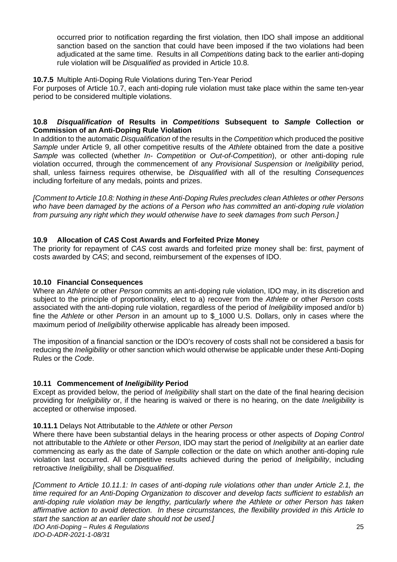occurred prior to notification regarding the first violation, then IDO shall impose an additional sanction based on the sanction that could have been imposed if the two violations had been adjudicated at the same time. Results in all *Competitions* dating back to the earlier anti-doping rule violation will be *Disqualified* as provided in Article 10.8.

#### **10.7.5** Multiple Anti-Doping Rule Violations during Ten-Year Period

For purposes of Article 10.7, each anti-doping rule violation must take place within the same ten-year period to be considered multiple violations.

#### **10.8** *Disqualification* **of Results in** *Competitions* **Subsequent to** *Sample* **Collection or Commission of an Anti-Doping Rule Violation**

In addition to the automatic *Disqualification* of the results in the *Competition* which produced the positive *Sample* under Article 9, all other competitive results of the *Athlete* obtained from the date a positive *Sample* was collected (whether *In- Competition* or *Out-of-Competition*), or other anti-doping rule violation occurred, through the commencement of any *Provisional Suspension* or *Ineligibility* period, shall, unless fairness requires otherwise, be *Disqualified* with all of the resulting *Consequences*  including forfeiture of any medals, points and prizes.

*[Comment to Article 10.8: Nothing in these Anti-Doping Rules precludes clean Athletes or other Persons who have been damaged by the actions of a Person who has committed an anti-doping rule violation from pursuing any right which they would otherwise have to seek damages from such Person.]* 

#### **10.9 Allocation of** *CAS* **Cost Awards and Forfeited Prize Money**

The priority for repayment of *CAS* cost awards and forfeited prize money shall be: first, payment of costs awarded by *CAS*; and second, reimbursement of the expenses of IDO.

#### **10.10 Financial Consequences**

Where an *Athlete* or other *Person* commits an anti-doping rule violation, IDO may, in its discretion and subject to the principle of proportionality, elect to a) recover from the *Athlete* or other *Person* costs associated with the anti-doping rule violation, regardless of the period of *Ineligibility* imposed and/or b) fine the *Athlete* or other *Person* in an amount up to \$\_1000 U.S. Dollars, only in cases where the maximum period of *Ineligibility* otherwise applicable has already been imposed.

The imposition of a financial sanction or the IDO's recovery of costs shall not be considered a basis for reducing the *Ineligibility* or other sanction which would otherwise be applicable under these Anti-Doping Rules or the *Code*.

# **10.11 Commencement of** *Ineligibility* **Period**

Except as provided below, the period of *Ineligibility* shall start on the date of the final hearing decision providing for *Ineligibility* or, if the hearing is waived or there is no hearing, on the date *Ineligibility* is accepted or otherwise imposed.

#### **10.11.1** Delays Not Attributable to the *Athlete* or other *Person*

Where there have been substantial delays in the hearing process or other aspects of *Doping Control*  not attributable to the *Athlete* or other *Person*, IDO may start the period of *Ineligibility* at an earlier date commencing as early as the date of *Sample* collection or the date on which another anti-doping rule violation last occurred. All competitive results achieved during the period of *Ineligibility*, including retroactive *Ineligibility*, shall be *Disqualified*.

*IDO Anti-Doping – Rules & Regulations IDO-D-ADR-2021-1-08/31* 25 *[Comment to Article 10.11.1: In cases of anti-doping rule violations other than under Article 2.1, the time required for an Anti-Doping Organization to discover and develop facts sufficient to establish an anti-doping rule violation may be lengthy, particularly where the Athlete or other Person has taken affirmative action to avoid detection. In these circumstances, the flexibility provided in this Article to start the sanction at an earlier date should not be used.]*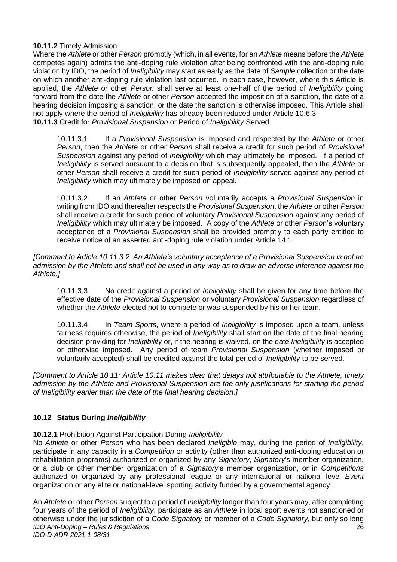#### **10.11.2** Timely Admission

Where the *Athlete* or other *Person* promptly (which, in all events, for an *Athlete* means before the *Athlete*  competes again) admits the anti-doping rule violation after being confronted with the anti-doping rule violation by IDO, the period of *Ineligibility* may start as early as the date of *Sample* collection or the date on which another anti-doping rule violation last occurred. In each case, however, where this Article is applied, the *Athlete* or other *Person* shall serve at least one-half of the period of *Ineligibility* going forward from the date the *Athlete* or other *Person* accepted the imposition of a sanction, the date of a hearing decision imposing a sanction, or the date the sanction is otherwise imposed. This Article shall not apply where the period of *Ineligibility* has already been reduced under Article 10.6.3. **10.11.3** Credit for *Provisional Suspension* or Period of *Ineligibility* Served

10.11.3.1 If a *Provisional Suspension* is imposed and respected by the *Athlete* or other *Person*, then the *Athlete* or other *Person* shall receive a credit for such period of *Provisional Suspension* against any period of *Ineligibility* which may ultimately be imposed. If a period of *Ineligibility* is served pursuant to a decision that is subsequently appealed, then the *Athlete* or other *Person* shall receive a credit for such period of *Ineligibility* served against any period of *Ineligibility* which may ultimately be imposed on appeal.

10.11.3.2 If an *Athlete* or other *Person* voluntarily accepts a *Provisional Suspension* in writing from IDO and thereafter respects the *Provisional Suspension*, the *Athlete* or other *Person*  shall receive a credit for such period of voluntary *Provisional Suspension* against any period of *Ineligibility* which may ultimately be imposed. A copy of the *Athlete* or other *Perso*n's voluntary acceptance of a *Provisional Suspension* shall be provided promptly to each party entitled to receive notice of an asserted anti-doping rule violation under Article 14.1.

*[Comment to Article 10.11.3.2: An Athlete's voluntary acceptance of a Provisional Suspension is not an admission by the Athlete and shall not be used in any way as to draw an adverse inference against the Athlete.]* 

10.11.3.3 No credit against a period of *Ineligibility* shall be given for any time before the effective date of the *Provisional Suspension* or voluntary *Provisional Suspension* regardless of whether the *Athlete* elected not to compete or was suspended by his or her team.

10.11.3.4 In *Team Sports*, where a period of *Ineligibility* is imposed upon a team, unless fairness requires otherwise, the period of *Ineligibility* shall start on the date of the final hearing decision providing for *Ineligibility* or, if the hearing is waived, on the date *Ineligibility* is accepted or otherwise imposed. Any period of team *Provisional Suspension* (whether imposed or voluntarily accepted) shall be credited against the total period of *Ineligibility* to be served.

*[Comment to Article 10.11: Article 10.11 makes clear that delays not attributable to the Athlete, timely admission by the Athlete and Provisional Suspension are the only justifications for starting the period of Ineligibility earlier than the date of the final hearing decision.]* 

# **10.12 Status During** *Ineligibility*

# **10.12.1** Prohibition Against Participation During *Ineligibility*

No *Athlete* or other *Person* who has been declared *Ineligible* may, during the period of *Ineligibility*, participate in any capacity in a *Competition* or activity (other than authorized anti-doping education or rehabilitation programs) authorized or organized by any *Signatory*, *Signatory*'s member organization, or a club or other member organization of a *Signatory*'s member organization, or in *Competitions*  authorized or organized by any professional league or any international or national level *Event*  organization or any elite or national-level sporting activity funded by a governmental agency.

*IDO Anti-Doping – Rules & Regulations IDO-D-ADR-2021-1-08/31* 26 An *Athlete* or other *Person* subject to a period of *Ineligibility* longer than four years may, after completing four years of the period of *Ineligibility*, participate as an *Athlete* in local sport events not sanctioned or otherwise under the jurisdiction of a *Code Signatory* or member of a *Code Signatory*, but only so long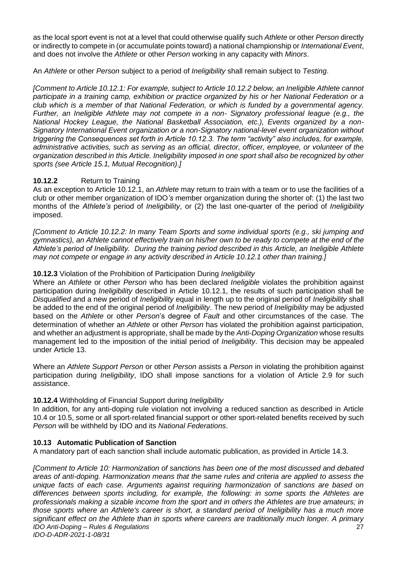as the local sport event is not at a level that could otherwise qualify such *Athlete* or other *Person* directly or indirectly to compete in (or accumulate points toward) a national championship or *International Event*, and does not involve the *Athlete* or other *Person* working in any capacity with *Minors*.

An *Athlete* or other *Person* subject to a period of *Ineligibility* shall remain subject to *Testing*.

*[Comment to Article 10.12.1: For example, subject to Article 10.12.2 below, an Ineligible Athlete cannot participate in a training camp, exhibition or practice organized by his or her National Federation or a club which is a member of that National Federation, or which is funded by a governmental agency. Further, an Ineligible Athlete may not compete in a non- Signatory professional league (e.g., the National Hockey League, the National Basketball Association, etc.), Events organized by a non-Signatory International Event organization or a non-Signatory national-level event organization without triggering the Consequences set forth in Article 10.12.3. The term "activity" also includes, for example, administrative activities, such as serving as an official, director, officer, employee, or volunteer of the organization described in this Article. Ineligibility imposed in one sport shall also be recognized by other sports (see Article 15.1, Mutual Recognition).]* 

# **10.12.2** Return to Training

As an exception to Article 10.12.1, an *Athlete* may return to train with a team or to use the facilities of a club or other member organization of IDO*'s* member organization during the shorter of: (1) the last two months of the *Athlete's* period of *Ineligibility*, or (2) the last one-quarter of the period of *Ineligibility*  imposed.

*[Comment to Article 10.12.2: In many Team Sports and some individual sports (e.g., ski jumping and gymnastics), an Athlete cannot effectively train on his/her own to be ready to compete at the end of the Athlete's period of Ineligibility. During the training period described in this Article, an Ineligible Athlete may not compete or engage in any activity described in Article 10.12.1 other than training.]* 

# **10.12.3** Violation of the Prohibition of Participation During *Ineligibility*

Where an *Athlete* or other *Person* who has been declared *Ineligible* violates the prohibition against participation during *Ineligibility* described in Article 10.12.1, the results of such participation shall be *Disqualified* and a new period of *Ineligibility* equal in length up to the original period of *Ineligibility* shall be added to the end of the original period of *Ineligibility*. The new period of *Ineligibility* may be adjusted based on the *Athlete* or other *Person*'s degree of *Fault* and other circumstances of the case. The determination of whether an *Athlete* or other *Person* has violated the prohibition against participation, and whether an adjustment is appropriate, shall be made by the *Anti-Doping Organization* whose results management led to the imposition of the initial period of *Ineligibility*. This decision may be appealed under Article 13.

Where an *Athlete Support Person* or other *Person* assists a *Person* in violating the prohibition against participation during *Ineligibility*, IDO shall impose sanctions for a violation of Article 2.9 for such assistance.

# **10.12.4** Withholding of Financial Support during *Ineligibility*

In addition, for any anti-doping rule violation not involving a reduced sanction as described in Article 10.4 or 10.5, some or all sport-related financial support or other sport-related benefits received by such *Person* will be withheld by IDO and its *National Federations*.

# **10.13 Automatic Publication of Sanction**

A mandatory part of each sanction shall include automatic publication, as provided in Article 14.3.

*IDO Anti-Doping – Rules & Regulations IDO-D-ADR-2021-1-08/31* 27 *[Comment to Article 10: Harmonization of sanctions has been one of the most discussed and debated areas of anti-doping. Harmonization means that the same rules and criteria are applied to assess the unique facts of each case. Arguments against requiring harmonization of sanctions are based on differences between sports including, for example, the following: in some sports the Athletes are professionals making a sizable income from the sport and in others the Athletes are true amateurs; in those sports where an Athlete's career is short, a standard period of Ineligibility has a much more significant effect on the Athlete than in sports where careers are traditionally much longer. A primary*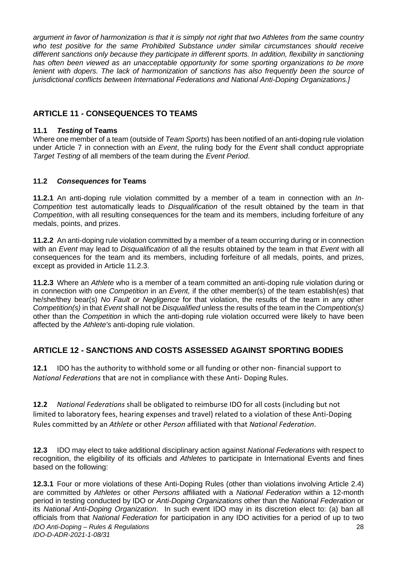*argument in favor of harmonization is that it is simply not right that two Athletes from the same country who test positive for the same Prohibited Substance under similar circumstances should receive different sanctions only because they participate in different sports. In addition, flexibility in sanctioning has often been viewed as an unacceptable opportunity for some sporting organizations to be more lenient with dopers. The lack of harmonization of sanctions has also frequently been the source of jurisdictional conflicts between International Federations and National Anti-Doping Organizations.]* 

# <span id="page-28-0"></span>**ARTICLE 11 - CONSEQUENCES TO TEAMS**

# **11.1** *Testing* **of Teams**

Where one member of a team (outside of *Team Sports*) has been notified of an anti-doping rule violation under Article 7 in connection with an *Event*, the ruling body for the *Event* shall conduct appropriate *Target Testing* of all members of the team during the *Event Period*.

# **11.2** *Consequences* **for Teams**

**11.2.1** An anti-doping rule violation committed by a member of a team in connection with an *In-Competition* test automatically leads to *Disqualification* of the result obtained by the team in that *Competition*, with all resulting consequences for the team and its members, including forfeiture of any medals, points, and prizes.

**11.2.2** An anti-doping rule violation committed by a member of a team occurring during or in connection with an *Event* may lead to *Disqualification* of all the results obtained by the team in that *Event* with all consequences for the team and its members, including forfeiture of all medals, points, and prizes, except as provided in Article 11.2.3.

**11.2.3** Where an *Athlete* who is a member of a team committed an anti-doping rule violation during or in connection with one *Competition* in an *Event,* if the other member(s) of the team establish(es) that he/she/they bear(s) *No Fault or Negligence* for that violation, the results of the team in any other *Competition(s)* in that *Event* shall not be *Disqualified* unless the results of the team in the *Competition(s)*  other than the *Competition* in which the anti-doping rule violation occurred were likely to have been affected by the *Athlete's* anti-doping rule violation.

# <span id="page-28-1"></span>**ARTICLE 12 - SANCTIONS AND COSTS ASSESSED AGAINST SPORTING BODIES**

**12.1** IDO has the authority to withhold some or all funding or other non- financial support to *National Federations* that are not in compliance with these Anti- Doping Rules.

**12.2** *National Federations* shall be obligated to reimburse IDO for all costs (including but not limited to laboratory fees, hearing expenses and travel) related to a violation of these Anti-Doping Rules committed by an *Athlete* or other *Person* affiliated with that *National Federation*.

**12.3** IDO may elect to take additional disciplinary action against *National Federations* with respect to recognition, the eligibility of its officials and *Athletes* to participate in International Events and fines based on the following:

*IDO Anti-Doping – Rules & Regulations IDO-D-ADR-2021-1-08/31* 28 **12.3.1** Four or more violations of these Anti-Doping Rules (other than violations involving Article 2.4) are committed by *Athletes* or other *Persons* affiliated with a *National Federation* within a 12-month period in testing conducted by IDO or *Anti-Doping Organizations* other than the *National Federation* or its *National Anti-Doping Organization*. In such event IDO may in its discretion elect to: (a) ban all officials from that *National Federation* for participation in any IDO activities for a period of up to two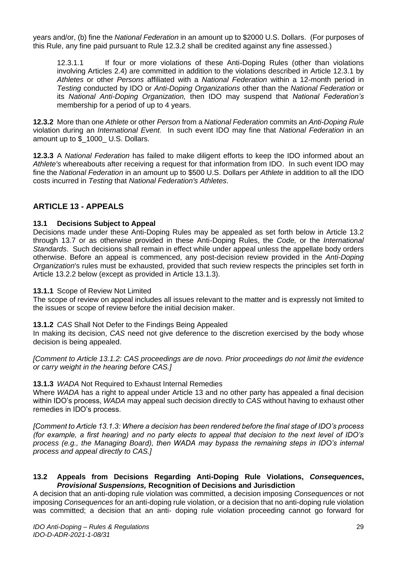years and/or, (b) fine the *National Federation* in an amount up to \$2000 U.S. Dollars. (For purposes of this Rule, any fine paid pursuant to Rule 12.3.2 shall be credited against any fine assessed.)

12.3.1.1 If four or more violations of these Anti-Doping Rules (other than violations involving Articles 2.4) are committed in addition to the violations described in Article 12.3.1 by *Athletes* or other *Persons* affiliated with a *National Federation* within a 12-month period in *Testing* conducted by IDO or *Anti-Doping Organizations* other than the *National Federation* or its *National Anti-Doping Organization,* then IDO may suspend that *National Federation's*  membership for a period of up to 4 years.

**12.3.2** More than one *Athlete* or other *Person* from a *National Federation* commits an *Anti-Doping Rule*  violation during an *International Event.* In such event IDO may fine that *National Federation* in an amount up to \$\_1000\_ U.S. Dollars.

**12.3.3** A *National Federation* has failed to make diligent efforts to keep the IDO informed about an *Athlete's* whereabouts after receiving a request for that information from IDO. In such event IDO may fine the *National Federation* in an amount up to \$500 U.S. Dollars per *Athlete* in addition to all the IDO costs incurred in *Testing* that *National Federation's Athletes*.

# <span id="page-29-0"></span>**ARTICLE 13 - APPEALS**

#### **13.1 Decisions Subject to Appeal**

Decisions made under these Anti-Doping Rules may be appealed as set forth below in Article 13.2 through 13.7 or as otherwise provided in these Anti-Doping Rules, the *Code,* or the *International Standards*. Such decisions shall remain in effect while under appeal unless the appellate body orders otherwise. Before an appeal is commenced, any post-decision review provided in the *Anti-Doping Organization*'s rules must be exhausted, provided that such review respects the principles set forth in Article 13.2.2 below (except as provided in Article 13.1.3).

#### **13.1.1** Scope of Review Not Limited

The scope of review on appeal includes all issues relevant to the matter and is expressly not limited to the issues or scope of review before the initial decision maker.

**13.1.2** *CAS* Shall Not Defer to the Findings Being Appealed

In making its decision, *CAS* need not give deference to the discretion exercised by the body whose decision is being appealed.

*[Comment to Article 13.1.2: CAS proceedings are de novo. Prior proceedings do not limit the evidence or carry weight in the hearing before CAS.]* 

#### **13.1.3** *WADA* Not Required to Exhaust Internal Remedies

Where *WADA* has a right to appeal under Article 13 and no other party has appealed a final decision within IDO's process, *WADA* may appeal such decision directly to *CAS* without having to exhaust other remedies in IDO's process.

*[Comment to Article 13.1.3: Where a decision has been rendered before the final stage of IDO's process (for example, a first hearing) and no party elects to appeal that decision to the next level of IDO's process (e.g., the Managing Board), then WADA may bypass the remaining steps in IDO's internal process and appeal directly to CAS.]* 

#### **13.2 Appeals from Decisions Regarding Anti-Doping Rule Violations,** *Consequences***,**  *Provisional Suspensions,* **Recognition of Decisions and Jurisdiction**

A decision that an anti-doping rule violation was committed, a decision imposing *Consequences* or not imposing *Consequences* for an anti-doping rule violation, or a decision that no anti-doping rule violation was committed; a decision that an anti- doping rule violation proceeding cannot go forward for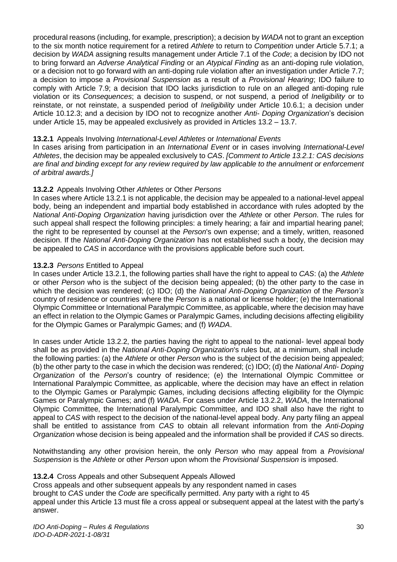procedural reasons (including, for example, prescription); a decision by *WADA* not to grant an exception to the six month notice requirement for a retired *Athlete* to return to *Competition* under Article 5.7.1; a decision by *WADA* assigning results management under Article 7.1 of the *Code*; a decision by IDO not to bring forward an *Adverse Analytical Finding* or an *Atypical Finding* as an anti-doping rule violation, or a decision not to go forward with an anti-doping rule violation after an investigation under Article 7.7; a decision to impose a *Provisional Suspension* as a result of a *Provisional Hearing*; IDO failure to comply with Article 7.9; a decision that IDO lacks jurisdiction to rule on an alleged anti-doping rule violation or its *Consequences*; a decision to suspend, or not suspend, a period of *Ineligibility* or to reinstate, or not reinstate, a suspended period of *Ineligibility* under Article 10.6.1; a decision under Article 10.12.3; and a decision by IDO not to recognize another *Anti- Doping Organization*'s decision under Article 15, may be appealed exclusively as provided in Articles 13.2 – 13.7.

#### **13.2.1** Appeals Involving *International-Level Athletes* or *International Events*

In cases arising from participation in an *International Event* or in cases involving *International-Level Athletes*, the decision may be appealed exclusively to *CAS*. *[Comment to Article 13.2.1: CAS decisions are final and binding except for any review required by law applicable to the annulment or enforcement of arbitral awards.]* 

# **13.2.2** Appeals Involving Other *Athletes* or Other *Persons*

In cases where Article 13.2.1 is not applicable, the decision may be appealed to a national-level appeal body, being an independent and impartial body established in accordance with rules adopted by the *National Anti-Doping Organization* having jurisdiction over the *Athlete* or other *Person*. The rules for such appeal shall respect the following principles: a timely hearing; a fair and impartial hearing panel; the right to be represented by counsel at the *Person*'s own expense; and a timely, written, reasoned decision. If the *National Anti-Doping Organization* has not established such a body, the decision may be appealed to *CAS* in accordance with the provisions applicable before such court.

#### **13.2.3** *Persons* Entitled to Appeal

In cases under Article 13.2.1, the following parties shall have the right to appeal to *CAS*: (a) the *Athlete*  or other *Person* who is the subject of the decision being appealed; (b) the other party to the case in which the decision was rendered; (c) IDO; (d) the *National Anti-Doping Organization* of the *Person's*  country of residence or countries where the *Person* is a national or license holder; (e) the International Olympic Committee or International Paralympic Committee, as applicable, where the decision may have an effect in relation to the Olympic Games or Paralympic Games, including decisions affecting eligibility for the Olympic Games or Paralympic Games; and (f) *WADA*.

In cases under Article 13.2.2, the parties having the right to appeal to the national- level appeal body shall be as provided in the *National Anti-Doping Organization*'s rules but, at a minimum, shall include the following parties: (a) the *Athlete* or other *Person* who is the subject of the decision being appealed; (b) the other party to the case in which the decision was rendered; (c) IDO; (d) the *National Anti- Doping Organization* of the *Person*'s country of residence; (e) the International Olympic Committee or International Paralympic Committee, as applicable, where the decision may have an effect in relation to the Olympic Games or Paralympic Games, including decisions affecting eligibility for the Olympic Games or Paralympic Games; and (f) *WADA*. For cases under Article 13.2.2, *WADA*, the International Olympic Committee, the International Paralympic Committee, and IDO shall also have the right to appeal to *CAS* with respect to the decision of the national-level appeal body. Any party filing an appeal shall be entitled to assistance from *CAS* to obtain all relevant information from the *Anti-Doping Organization* whose decision is being appealed and the information shall be provided if *CAS* so directs.

Notwithstanding any other provision herein, the only *Person* who may appeal from a *Provisional Suspension* is the *Athlete* or other *Person* upon whom the *Provisional Suspension* is imposed.

#### **13.2.4** Cross Appeals and other Subsequent Appeals Allowed

Cross appeals and other subsequent appeals by any respondent named in cases brought to *CAS* under the *Code* are specifically permitted. Any party with a right to 45 appeal under this Article 13 must file a cross appeal or subsequent appeal at the latest with the party's answer.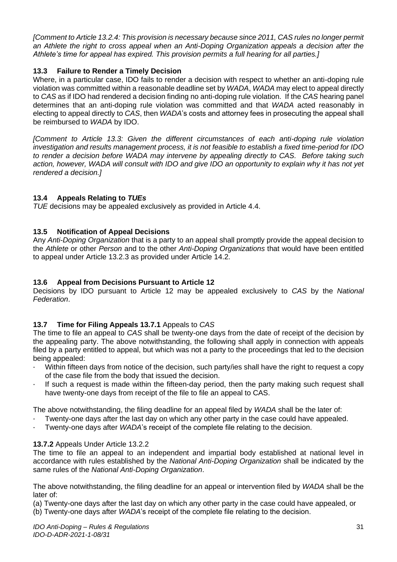*[Comment to Article 13.2.4: This provision is necessary because since 2011, CAS rules no longer permit an Athlete the right to cross appeal when an Anti-Doping Organization appeals a decision after the Athlete's time for appeal has expired. This provision permits a full hearing for all parties.]* 

# **13.3 Failure to Render a Timely Decision**

Where, in a particular case, IDO fails to render a decision with respect to whether an anti-doping rule violation was committed within a reasonable deadline set by *WADA*, *WADA* may elect to appeal directly to *CAS* as if IDO had rendered a decision finding no anti-doping rule violation. If the *CAS* hearing panel determines that an anti-doping rule violation was committed and that *WADA* acted reasonably in electing to appeal directly to *CAS*, then *WADA*'s costs and attorney fees in prosecuting the appeal shall be reimbursed to *WADA* by IDO.

*[Comment to Article 13.3: Given the different circumstances of each anti-doping rule violation investigation and results management process, it is not feasible to establish a fixed time-period for IDO to render a decision before WADA may intervene by appealing directly to CAS. Before taking such action, however, WADA will consult with IDO and give IDO an opportunity to explain why it has not yet rendered a decision.]* 

# **13.4 Appeals Relating to** *TUEs*

*TUE* decisions may be appealed exclusively as provided in Article 4.4.

# **13.5 Notification of Appeal Decisions**

Any *Anti-Doping Organization* that is a party to an appeal shall promptly provide the appeal decision to the *Athlete* or other *Person* and to the other *Anti-Doping Organizations* that would have been entitled to appeal under Article 13.2.3 as provided under Article 14.2.

# **13.6 Appeal from Decisions Pursuant to Article 12**

Decisions by IDO pursuant to Article 12 may be appealed exclusively to *CAS* by the *National Federation*.

# **13.7 Time for Filing Appeals 13.7.1** Appeals to *CAS*

The time to file an appeal to *CAS* shall be twenty-one days from the date of receipt of the decision by the appealing party. The above notwithstanding, the following shall apply in connection with appeals filed by a party entitled to appeal, but which was not a party to the proceedings that led to the decision being appealed:

- Within fifteen days from notice of the decision, such party/ies shall have the right to request a copy of the case file from the body that issued the decision.
- If such a request is made within the fifteen-day period, then the party making such request shall have twenty-one days from receipt of the file to file an appeal to CAS.

The above notwithstanding, the filing deadline for an appeal filed by *WADA* shall be the later of:

- · Twenty-one days after the last day on which any other party in the case could have appealed.
- Twenty-one days after *WADA*'s receipt of the complete file relating to the decision.

# **13.7.2** Appeals Under Article 13.2.2

The time to file an appeal to an independent and impartial body established at national level in accordance with rules established by the *National Anti-Doping Organization* shall be indicated by the same rules of the *National Anti-Doping Organization*.

The above notwithstanding, the filing deadline for an appeal or intervention filed by *WADA* shall be the later of:

(a) Twenty-one days after the last day on which any other party in the case could have appealed, or

(b) Twenty-one days after *WADA*'s receipt of the complete file relating to the decision.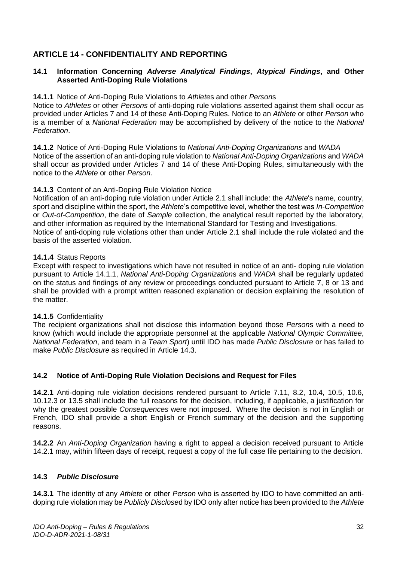# <span id="page-32-0"></span>**ARTICLE 14 - CONFIDENTIALITY AND REPORTING**

#### **14.1 Information Concerning** *Adverse Analytical Findings***,** *Atypical Findings***, and Other Asserted Anti-Doping Rule Violations**

#### **14.1.1** Notice of Anti-Doping Rule Violations to *Athlete*s and other *Person*s

Notice to *Athletes* or other *Persons* of anti-doping rule violations asserted against them shall occur as provided under Articles 7 and 14 of these Anti-Doping Rules. Notice to an *Athlete* or other *Person* who is a member of a *National Federation* may be accomplished by delivery of the notice to the *National Federation*.

**14.1.2** Notice of Anti-Doping Rule Violations to *National Anti-Doping Organizations* and *WADA*  Notice of the assertion of an anti-doping rule violation to *National Anti-Doping Organizations* and *WADA*  shall occur as provided under Articles 7 and 14 of these Anti-Doping Rules, simultaneously with the notice to the *Athlete* or other *Person*.

#### **14.1.3** Content of an Anti-Doping Rule Violation Notice

Notification of an anti-doping rule violation under Article 2.1 shall include: the *Athlete*'s name, country, sport and discipline within the sport, the *Athlete*'s competitive level, whether the test was *In-Competition*  or *Out-of-Competition*, the date of *Sample* collection, the analytical result reported by the laboratory, and other information as required by the International Standard for Testing and Investigations. Notice of anti-doping rule violations other than under Article 2.1 shall include the rule violated and the basis of the asserted violation.

#### **14.1.4** Status Reports

Except with respect to investigations which have not resulted in notice of an anti- doping rule violation pursuant to Article 14.1.1, *National Anti-Doping Organization*s and *WADA* shall be regularly updated on the status and findings of any review or proceedings conducted pursuant to Article 7, 8 or 13 and shall be provided with a prompt written reasoned explanation or decision explaining the resolution of the matter.

# **14.1.5** Confidentiality

The recipient organizations shall not disclose this information beyond those *Person*s with a need to know (which would include the appropriate personnel at the applicable *National Olympic Committee*, *National Federation*, and team in a *Team Sport*) until IDO has made *Public Disclosure* or has failed to make *Public Disclosure* as required in Article 14.3.

# **14.2 Notice of Anti-Doping Rule Violation Decisions and Request for Files**

**14.2.1** Anti-doping rule violation decisions rendered pursuant to Article 7.11, 8.2, 10.4, 10.5, 10.6, 10.12.3 or 13.5 shall include the full reasons for the decision, including, if applicable, a justification for why the greatest possible *Consequences* were not imposed. Where the decision is not in English or French, IDO shall provide a short English or French summary of the decision and the supporting reasons.

**14.2.2** An *Anti-Doping Organization* having a right to appeal a decision received pursuant to Article 14.2.1 may, within fifteen days of receipt, request a copy of the full case file pertaining to the decision.

# **14.3** *Public Disclosure*

**14.3.1** The identity of any *Athlete* or other *Person* who is asserted by IDO to have committed an antidoping rule violation may be *Publicly Disclose*d by IDO only after notice has been provided to the *Athlete*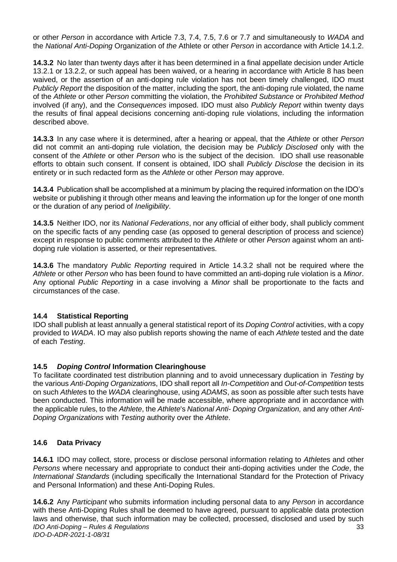or other *Person* in accordance with Article 7.3, 7.4, 7.5, 7.6 or 7.7 and simultaneously to *WADA* and the *National Anti-Doping* Organization of *the* Athlete or other *Person* in accordance with Article 14.1.2.

**14.3.2** No later than twenty days after it has been determined in a final appellate decision under Article 13.2.1 or 13.2.2, or such appeal has been waived, or a hearing in accordance with Article 8 has been waived, or the assertion of an anti-doping rule violation has not been timely challenged, IDO must *Publicly Report* the disposition of the matter, including the sport, the anti-doping rule violated, the name of the *Athlete* or other *Person* committing the violation, the *Prohibited Substance* or *Prohibited Method*  involved (if any), and the *Consequences* imposed. IDO must also *Publicly Report* within twenty days the results of final appeal decisions concerning anti-doping rule violations, including the information described above.

**14.3.3** In any case where it is determined, after a hearing or appeal, that the *Athlete* or other *Person*  did not commit an anti-doping rule violation, the decision may be *Publicly Disclosed* only with the consent of the *Athlete* or other *Person* who is the subject of the decision. IDO shall use reasonable efforts to obtain such consent. If consent is obtained, IDO shall *Publicly Disclose* the decision in its entirety or in such redacted form as the *Athlete* or other *Person* may approve.

**14.3.4** Publication shall be accomplished at a minimum by placing the required information on the IDO's website or publishing it through other means and leaving the information up for the longer of one month or the duration of any period of *Ineligibility*.

**14.3.5** Neither IDO, nor its *National Federations*, nor any official of either body, shall publicly comment on the specific facts of any pending case (as opposed to general description of process and science) except in response to public comments attributed to the *Athlete* or other *Person* against whom an antidoping rule violation is asserted, or their representatives.

**14.3.6** The mandatory *Public Reporting* required in Article 14.3.2 shall not be required where the *Athlete* or other *Person* who has been found to have committed an anti-doping rule violation is a *Minor*. Any optional *Public Reporting* in a case involving a *Minor* shall be proportionate to the facts and circumstances of the case.

# **14.4 Statistical Reporting**

IDO shall publish at least annually a general statistical report of its *Doping Control* activities, with a copy provided to *WADA*. IO may also publish reports showing the name of each *Athlete* tested and the date of each *Testing*.

# **14.5** *Doping Control* **Information Clearinghouse**

To facilitate coordinated test distribution planning and to avoid unnecessary duplication in *Testing* by the various *Anti-Doping Organization*s, IDO shall report all *In-Competition* and *Out-of-Competition* tests on such *Athlete*s to the *WADA* clearinghouse, using *ADAMS*, as soon as possible after such tests have been conducted. This information will be made accessible, where appropriate and in accordance with the applicable rules, to the *Athlete*, the *Athlete*'s *National Anti- Doping Organization,* and any other *Anti-Doping Organizations* with *Testing* authority over the *Athlete*.

# **14.6 Data Privacy**

**14.6.1** IDO may collect, store, process or disclose personal information relating to *Athlete*s and other *Persons* where necessary and appropriate to conduct their anti-doping activities under the *Code*, the *International Standards* (including specifically the International Standard for the Protection of Privacy and Personal Information) and these Anti-Doping Rules.

*IDO Anti-Doping – Rules & Regulations IDO-D-ADR-2021-1-08/31* 33 **14.6.2** Any *Participant* who submits information including personal data to any *Person* in accordance with these Anti-Doping Rules shall be deemed to have agreed, pursuant to applicable data protection laws and otherwise, that such information may be collected, processed, disclosed and used by such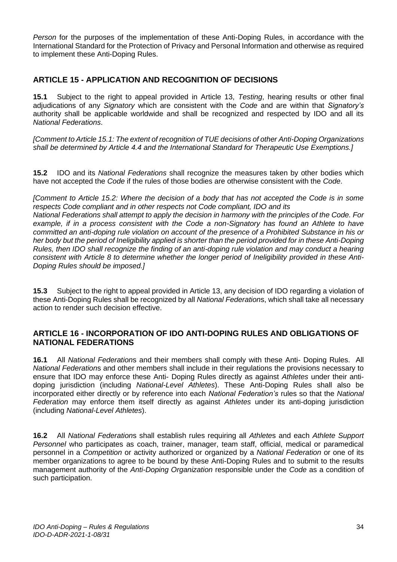*Person* for the purposes of the implementation of these Anti-Doping Rules, in accordance with the International Standard for the Protection of Privacy and Personal Information and otherwise as required to implement these Anti-Doping Rules.

# <span id="page-34-0"></span>**ARTICLE 15 - APPLICATION AND RECOGNITION OF DECISIONS**

**15.1** Subject to the right to appeal provided in Article 13, *Testing*, hearing results or other final adjudications of any *Signatory* which are consistent with the *Code* and are within that *Signatory's*  authority shall be applicable worldwide and shall be recognized and respected by IDO and all its *National Federations*.

*[Comment to Article 15.1: The extent of recognition of TUE decisions of other Anti-Doping Organizations shall be determined by Article 4.4 and the International Standard for Therapeutic Use Exemptions.]* 

**15.2** IDO and its *National Federations* shall recognize the measures taken by other bodies which have not accepted the *Code* if the rules of those bodies are otherwise consistent with the *Code*.

*[Comment to Article 15.2: Where the decision of a body that has not accepted the Code is in some respects Code compliant and in other respects not Code compliant, IDO and its* 

*National Federations shall attempt to apply the decision in harmony with the principles of the Code. For example, if in a process consistent with the Code a non-Signatory has found an Athlete to have committed an anti-doping rule violation on account of the presence of a Prohibited Substance in his or her body but the period of Ineligibility applied is shorter than the period provided for in these Anti-Doping Rules, then IDO shall recognize the finding of an anti-doping rule violation and may conduct a hearing consistent with Article 8 to determine whether the longer period of Ineligibility provided in these Anti-Doping Rules should be imposed.]* 

**15.3** Subject to the right to appeal provided in Article 13, any decision of IDO regarding a violation of these Anti-Doping Rules shall be recognized by all *National Federation*s, which shall take all necessary action to render such decision effective.

# <span id="page-34-1"></span>**ARTICLE 16 - INCORPORATION OF IDO ANTI-DOPING RULES AND OBLIGATIONS OF NATIONAL FEDERATIONS**

**16.1** All *National Federation*s and their members shall comply with these Anti- Doping Rules. All *National Federation*s and other members shall include in their regulations the provisions necessary to ensure that IDO may enforce these Anti- Doping Rules directly as against *Athletes* under their antidoping jurisdiction (including *National-Level Athletes*). These Anti-Doping Rules shall also be incorporated either directly or by reference into each *National Federation's* rules so that the *National Federation* may enforce them itself directly as against *Athletes* under its anti-doping jurisdiction (including *National-Level Athletes*).

**16.2** All *National Federation*s shall establish rules requiring all *Athlete*s and each *Athlete Support Personnel* who participates as coach, trainer, manager, team staff, official, medical or paramedical personnel in a *Competition* or activity authorized or organized by a *National Federation* or one of its member organizations to agree to be bound by these Anti-Doping Rules and to submit to the results management authority of the *Anti-Doping Organization* responsible under the *Code* as a condition of such participation.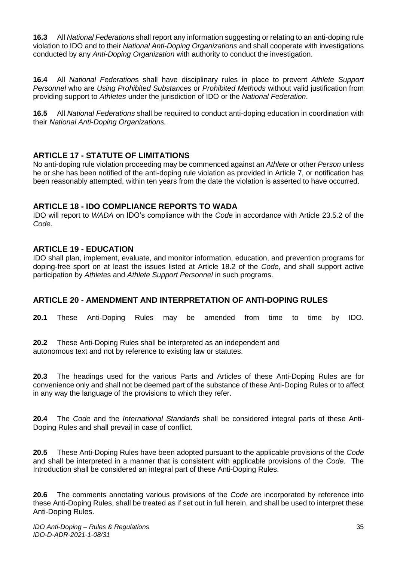**16.3** All *National Federation*s shall report any information suggesting or relating to an anti-doping rule violation to IDO and to their *National Anti-Doping Organizations* and shall cooperate with investigations conducted by any *Anti-Doping Organization* with authority to conduct the investigation.

**16.4** All *National Federation*s shall have disciplinary rules in place to prevent *Athlete Support Personnel* who are *Using Prohibited Substances* or *Prohibited Methods* without valid justification from providing support to *Athletes* under the jurisdiction of IDO or the *National Federation*.

**16.5** All *National Federations* shall be required to conduct anti-doping education in coordination with their *National Anti-Doping Organizations.* 

# <span id="page-35-0"></span>**ARTICLE 17 - STATUTE OF LIMITATIONS**

No anti-doping rule violation proceeding may be commenced against an *Athlete* or other *Person* unless he or she has been notified of the anti-doping rule violation as provided in Article 7, or notification has been reasonably attempted, within ten years from the date the violation is asserted to have occurred.

# <span id="page-35-1"></span>**ARTICLE 18 - IDO COMPLIANCE REPORTS TO WADA**

IDO will report to *WADA* on IDO's compliance with the *Code* in accordance with Article 23.5.2 of the *Code*.

# <span id="page-35-2"></span>**ARTICLE 19 - EDUCATION**

IDO shall plan, implement, evaluate, and monitor information, education, and prevention programs for doping-free sport on at least the issues listed at Article 18.2 of the *Code*, and shall support active participation by *Athlete*s and *Athlete Support Personnel* in such programs.

# <span id="page-35-3"></span>**ARTICLE 20 - AMENDMENT AND INTERPRETATION OF ANTI-DOPING RULES**

**20.1** These Anti-Doping Rules may be amended from time to time by IDO.

**20.2** These Anti-Doping Rules shall be interpreted as an independent and autonomous text and not by reference to existing law or statutes.

**20.3** The headings used for the various Parts and Articles of these Anti-Doping Rules are for convenience only and shall not be deemed part of the substance of these Anti-Doping Rules or to affect in any way the language of the provisions to which they refer.

**20.4** The *Code* and the *International Standards* shall be considered integral parts of these Anti-Doping Rules and shall prevail in case of conflict.

**20.5** These Anti-Doping Rules have been adopted pursuant to the applicable provisions of the *Code*  and shall be interpreted in a manner that is consistent with applicable provisions of the *Code*. The Introduction shall be considered an integral part of these Anti-Doping Rules.

**20.6** The comments annotating various provisions of the *Code* are incorporated by reference into these Anti-Doping Rules, shall be treated as if set out in full herein, and shall be used to interpret these Anti-Doping Rules.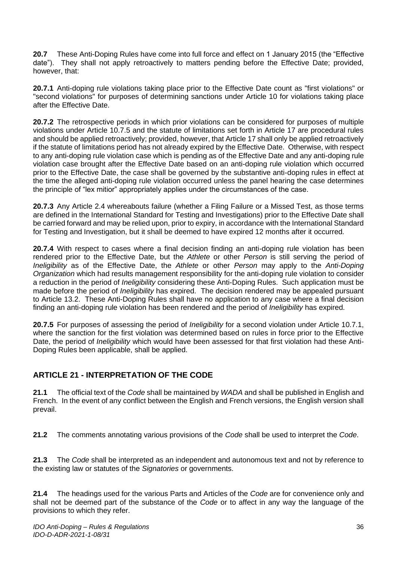**20.7** These Anti-Doping Rules have come into full force and effect on 1 January 2015 (the "Effective date"). They shall not apply retroactively to matters pending before the Effective Date; provided, however, that:

**20.7.1** Anti-doping rule violations taking place prior to the Effective Date count as "first violations" or "second violations" for purposes of determining sanctions under Article 10 for violations taking place after the Effective Date.

**20.7.2** The retrospective periods in which prior violations can be considered for purposes of multiple violations under Article 10.7.5 and the statute of limitations set forth in Article 17 are procedural rules and should be applied retroactively; provided, however, that Article 17 shall only be applied retroactively if the statute of limitations period has not already expired by the Effective Date. Otherwise, with respect to any anti-doping rule violation case which is pending as of the Effective Date and any anti-doping rule violation case brought after the Effective Date based on an anti-doping rule violation which occurred prior to the Effective Date, the case shall be governed by the substantive anti-doping rules in effect at the time the alleged anti-doping rule violation occurred unless the panel hearing the case determines the principle of "lex mitior" appropriately applies under the circumstances of the case.

**20.7.3** Any Article 2.4 whereabouts failure (whether a Filing Failure or a Missed Test, as those terms are defined in the International Standard for Testing and Investigations) prior to the Effective Date shall be carried forward and may be relied upon, prior to expiry, in accordance with the International Standard for Testing and Investigation, but it shall be deemed to have expired 12 months after it occurred*.* 

**20.7.4** With respect to cases where a final decision finding an anti-doping rule violation has been rendered prior to the Effective Date, but the *Athlete* or other *Person* is still serving the period of *Ineligibility* as of the Effective Date, the *Athlete* or other *Person* may apply to the *Anti-Doping Organization* which had results management responsibility for the anti-doping rule violation to consider a reduction in the period of *Ineligibility* considering these Anti-Doping Rules. Such application must be made before the period of *Ineligibility* has expired. The decision rendered may be appealed pursuant to Article 13.2. These Anti-Doping Rules shall have no application to any case where a final decision finding an anti-doping rule violation has been rendered and the period of *Ineligibility* has expired.

**20.7.5** For purposes of assessing the period of *Ineligibility* for a second violation under Article 10.7.1, where the sanction for the first violation was determined based on rules in force prior to the Effective Date, the period of *Ineligibility* which would have been assessed for that first violation had these Anti-Doping Rules been applicable, shall be applied.

# <span id="page-36-0"></span>**ARTICLE 21 - INTERPRETATION OF THE CODE**

**21.1** The official text of the *Code* shall be maintained by *WADA* and shall be published in English and French. In the event of any conflict between the English and French versions, the English version shall prevail.

**21.2** The comments annotating various provisions of the *Code* shall be used to interpret the *Code*.

**21.3** The *Code* shall be interpreted as an independent and autonomous text and not by reference to the existing law or statutes of the *Signatories* or governments.

**21.4** The headings used for the various Parts and Articles of the *Code* are for convenience only and shall not be deemed part of the substance of the *Code* or to affect in any way the language of the provisions to which they refer.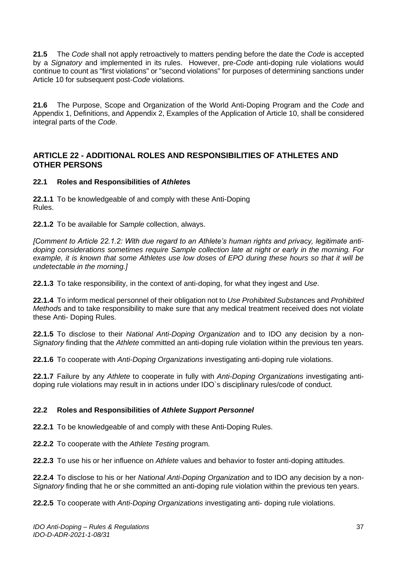**21.5** The *Code* shall not apply retroactively to matters pending before the date the *Code* is accepted by a *Signatory* and implemented in its rules. However, pre-*Code* anti-doping rule violations would continue to count as "first violations" or "second violations" for purposes of determining sanctions under Article 10 for subsequent post-*Code* violations.

**21.6** The Purpose, Scope and Organization of the World Anti-Doping Program and the *Code* and Appendix 1, Definitions, and Appendix 2, Examples of the Application of Article 10, shall be considered integral parts of the *Code*.

# <span id="page-37-0"></span>**ARTICLE 22 - ADDITIONAL ROLES AND RESPONSIBILITIES OF ATHLETES AND OTHER PERSONS**

#### **22.1 Roles and Responsibilities of** *Athlete***s**

**22.1.1** To be knowledgeable of and comply with these Anti-Doping Rules.

**22.1.2** To be available for *Sample* collection, always.

*[Comment to Article 22.1.2: With due regard to an Athlete's human rights and privacy, legitimate antidoping considerations sometimes require Sample collection late at night or early in the morning. For example, it is known that some Athletes use low doses of EPO during these hours so that it will be undetectable in the morning.]* 

**22.1.3** To take responsibility, in the context of anti-doping, for what they ingest and *Use*.

**22.1.4** To inform medical personnel of their obligation not to *Use Prohibited Substance*s and *Prohibited Method*s and to take responsibility to make sure that any medical treatment received does not violate these Anti- Doping Rules.

**22.1.5** To disclose to their *National Anti-Doping Organization* and to IDO any decision by a non-*Signatory* finding that the *Athlete* committed an anti-doping rule violation within the previous ten years.

**22.1.6** To cooperate with *Anti-Doping Organizations* investigating anti-doping rule violations.

**22.1.7** Failure by any *Athlete* to cooperate in fully with *Anti-Doping Organizations* investigating antidoping rule violations may result in in actions under IDO`s disciplinary rules/code of conduct.

# **22.2 Roles and Responsibilities of** *Athlete Support Personnel*

**22.2.1** To be knowledgeable of and comply with these Anti-Doping Rules.

**22.2.2** To cooperate with the *Athlete Testing* program.

**22.2.3** To use his or her influence on *Athlete* values and behavior to foster anti-doping attitudes.

**22.2.4** To disclose to his or her *National Anti-Doping Organization* and to IDO any decision by a non-*Signatory* finding that he or she committed an anti-doping rule violation within the previous ten years.

**22.2.5** To cooperate with *Anti-Doping Organizations* investigating anti- doping rule violations.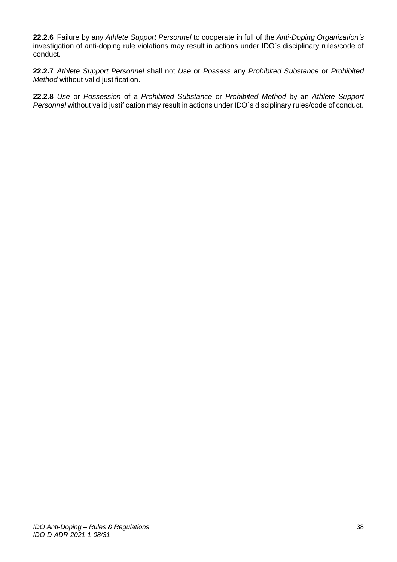**22.2.6** Failure by any *Athlete Support Personnel* to cooperate in full of the *Anti-Doping Organization's*  investigation of anti-doping rule violations may result in actions under IDO`s disciplinary rules/code of conduct.

**22.2.7** *Athlete Support Personnel* shall not *Use* or *Possess* any *Prohibited Substance* or *Prohibited Method* without valid justification.

**22.2.8** *Use* or *Possession* of a *Prohibited Substance* or *Prohibited Method* by an *Athlete Support Personnel* without valid justification may result in actions under IDO`s disciplinary rules/code of conduct.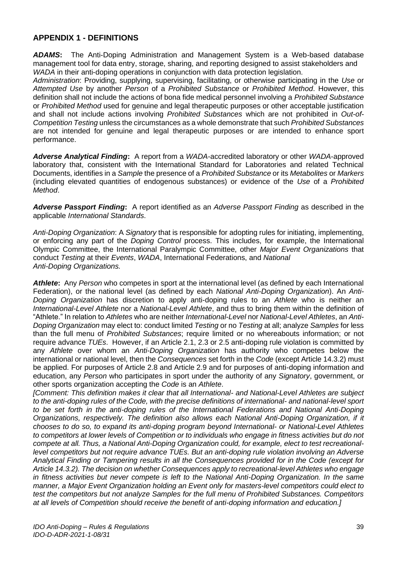# <span id="page-39-0"></span>**APPENDIX 1 - DEFINITIONS**

*ADAMS***:** The Anti-Doping Administration and Management System is a Web-based database management tool for data entry, storage, sharing, and reporting designed to assist stakeholders and *WADA* in their anti-doping operations in conjunction with data protection legislation.

*Administration*: Providing, supplying, supervising, facilitating, or otherwise participating in the *Use* or *Attempted Use* by another *Person* of a *Prohibited Substance* or *Prohibited Method*. However, this definition shall not include the actions of bona fide medical personnel involving a *Prohibited Substance*  or *Prohibited Method* used for genuine and legal therapeutic purposes or other acceptable justification and shall not include actions involving *Prohibited Substances* which are not prohibited in *Out-of-Competition Testing* unless the circumstances as a whole demonstrate that such *Prohibited Substances*  are not intended for genuine and legal therapeutic purposes or are intended to enhance sport performance.

*Adverse Analytical Finding***:** A report from a *WADA*-accredited laboratory or other *WADA*-approved laboratory that, consistent with the International Standard for Laboratories and related Technical Documents, identifies in a *Sample* the presence of a *Prohibited Substance* or its *Metabolites* or *Markers*  (including elevated quantities of endogenous substances) or evidence of the *Use* of a *Prohibited Method*.

*Adverse Passport Finding***:** A report identified as an *Adverse Passport Finding* as described in the applicable *International Standards*.

*Anti-Doping Organization*: A *Signatory* that is responsible for adopting rules for initiating, implementing, or enforcing any part of the *Doping Control* process. This includes, for example, the International Olympic Committee, the International Paralympic Committee, other *Major Event Organizations* that conduct *Testing* at their *Events*, *WADA*, International Federations, and *National Anti-Doping Organizations.* 

*Athlete***:** Any *Person* who competes in sport at the international level (as defined by each International Federation), or the national level (as defined by each *National Anti-Doping Organization*). An *Anti-Doping Organization* has discretion to apply anti-doping rules to an *Athlete* who is neither an *International-Level Athlete* nor a *National-Level Athlete*, and thus to bring them within the definition of "Athlete." In relation to *Athletes* who are neither *International*-*Level* nor *National-Level Athletes*, an *Anti-Doping Organization* may elect to: conduct limited *Testing* or no *Testing* at all; analyze *Samples* for less than the full menu of *Prohibited Substances*; require limited or no whereabouts information; or not require advance *TUEs*. However, if an Article 2.1, 2.3 or 2.5 anti-doping rule violation is committed by any *Athlete* over whom an *Anti-Doping Organization* has authority who competes below the international or national level, then the *Consequences* set forth in the *Code* (except Article 14.3.2) must be applied. For purposes of Article 2.8 and Article 2.9 and for purposes of anti-doping information and education, any *Person* who participates in sport under the authority of any *Signatory*, government, or other sports organization accepting the *Code* is an *Athlete*.

*[Comment: This definition makes it clear that all International- and National-Level Athletes are subject to the anti-doping rules of the Code, with the precise definitions of international- and national-level sport to be set forth in the anti-doping rules of the International Federations and National Anti-Doping Organizations, respectively. The definition also allows each National Anti-Doping Organization, if it chooses to do so, to expand its anti-doping program beyond International- or National-Level Athletes to competitors at lower levels of Competition or to individuals who engage in fitness activities but do not compete at all. Thus, a National Anti-Doping Organization could, for example, elect to test recreationallevel competitors but not require advance TUEs. But an anti-doping rule violation involving an Adverse Analytical Finding or Tampering results in all the Consequences provided for in the Code (except for Article 14.3.2). The decision on whether Consequences apply to recreational-level Athletes who engage in fitness activities but never compete is left to the National Anti-Doping Organization. In the same manner, a Major Event Organization holding an Event only for masters-level competitors could elect to test the competitors but not analyze Samples for the full menu of Prohibited Substances. Competitors at all levels of Competition should receive the benefit of anti-doping information and education.]*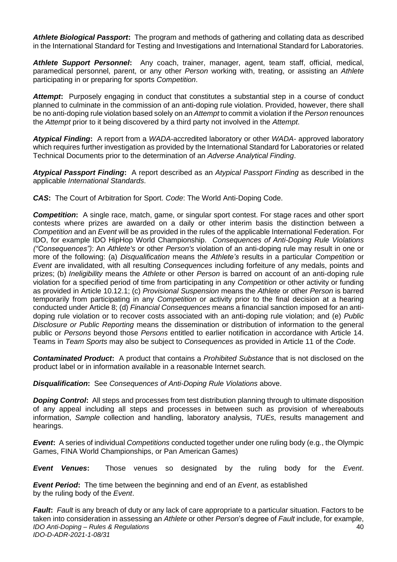*Athlete Biological Passport***:** The program and methods of gathering and collating data as described in the International Standard for Testing and Investigations and International Standard for Laboratories.

*Athlete Support Personnel***:** Any coach, trainer, manager, agent, team staff, official, medical, paramedical personnel, parent, or any other *Person* working with, treating, or assisting an *Athlete*  participating in or preparing for sports *Competition*.

*Attempt***:** Purposely engaging in conduct that constitutes a substantial step in a course of conduct planned to culminate in the commission of an anti-doping rule violation. Provided, however, there shall be no anti-doping rule violation based solely on an *Attempt* to commit a violation if the *Person* renounces the *Attempt* prior to it being discovered by a third party not involved in the *Attempt*.

*Atypical Finding***:** A report from a *WADA*-accredited laboratory or other *WADA*- approved laboratory which requires further investigation as provided by the International Standard for Laboratories or related Technical Documents prior to the determination of an *Adverse Analytical Finding*.

*Atypical Passport Finding***:** A report described as an *Atypical Passport Finding* as described in the applicable *International Standards*.

*CAS***:** The Court of Arbitration for Sport. *Code*: The World Anti-Doping Code.

*Competition***:** A single race, match, game, or singular sport contest. For stage races and other sport contests where prizes are awarded on a daily or other interim basis the distinction between a *Competition* and an *Event* will be as provided in the rules of the applicable International Federation. For IDO, for example IDO HipHop World Championship. *Consequences of Anti-Doping Rule Violations ("Consequences")*: An *Athlete's* or other *Person's* violation of an anti-doping rule may result in one or more of the following: (a) *Disqualification* means the *Athlete's* results in a particular *Competition* or *Event* are invalidated, with all resulting *Consequences* including forfeiture of any medals, points and prizes; (b) *Ineligibility* means the *Athlete* or other *Person* is barred on account of an anti-doping rule violation for a specified period of time from participating in any *Competition* or other activity or funding as provided in Article 10.12.1; (c) *Provisional Suspension* means the *Athlete* or other *Person* is barred temporarily from participating in any *Competition* or activity prior to the final decision at a hearing conducted under Article 8; (d) *Financial Consequences* means a financial sanction imposed for an antidoping rule violation or to recover costs associated with an anti-doping rule violation; and (e) *Public Disclosure or Public Reporting* means the dissemination or distribution of information to the general public or *Persons* beyond those *Persons* entitled to earlier notification in accordance with Article 14. Teams in *Team Sports* may also be subject to *Consequences* as provided in Article 11 of the *Code*.

*Contaminated Product***:** A product that contains a *Prohibited Substance* that is not disclosed on the product label or in information available in a reasonable Internet search.

*Disqualification***:** See *Consequences of Anti-Doping Rule Violations* above.

*Doping Control*: All steps and processes from test distribution planning through to ultimate disposition of any appeal including all steps and processes in between such as provision of whereabouts information, *Sample* collection and handling, laboratory analysis, *TUEs*, results management and hearings.

*Event***:** A series of individual *Competitions* conducted together under one ruling body (e.g., the Olympic Games, FINA World Championships, or Pan American Games)

*Event Venues***:** Those venues so designated by the ruling body for the *Event*.

*Event Period***:** The time between the beginning and end of an *Event*, as established by the ruling body of the *Event*.

*IDO Anti-Doping – Rules & Regulations IDO-D-ADR-2021-1-08/31* 40 *Fault***:** *Fault* is any breach of duty or any lack of care appropriate to a particular situation. Factors to be taken into consideration in assessing an *Athlete* or other *Person*'s degree of *Fault* include, for example,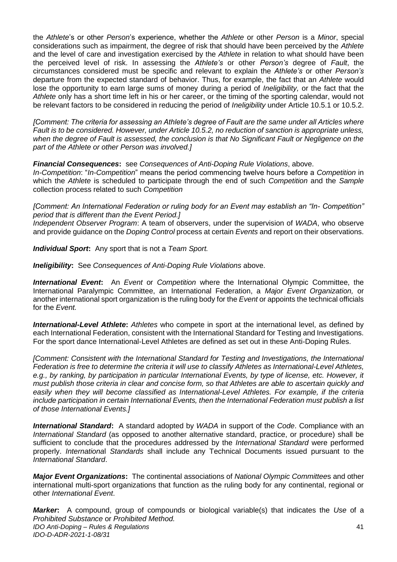the *Athlete*'s or other *Person*'s experience, whether the *Athlete* or other *Person* is a *Minor*, special considerations such as impairment, the degree of risk that should have been perceived by the *Athlete*  and the level of care and investigation exercised by the *Athlete* in relation to what should have been the perceived level of risk. In assessing the *Athlete's* or other *Person's* degree of *Fault*, the circumstances considered must be specific and relevant to explain the *Athlete's* or other *Person's*  departure from the expected standard of behavior. Thus, for example, the fact that an *Athlete* would lose the opportunity to earn large sums of money during a period of *Ineligibility,* or the fact that the *Athlete* only has a short time left in his or her career, or the timing of the sporting calendar, would not be relevant factors to be considered in reducing the period of *Ineligibility* under Article 10.5.1 or 10.5.2.

*[Comment: The criteria for assessing an Athlete's degree of Fault are the same under all Articles where Fault is to be considered. However, under Article 10.5.2, no reduction of sanction is appropriate unless, when the degree of Fault is assessed, the conclusion is that No Significant Fault or Negligence on the part of the Athlete or other Person was involved.]* 

*Financial Consequences***:** see *Consequences of Anti-Doping Rule Violations*, above.

*In-Competition*: "*In-Competition*" means the period commencing twelve hours before a *Competition* in which the *Athlete* is scheduled to participate through the end of such *Competition* and the *Sample*  collection process related to such *Competition* 

*[Comment: An International Federation or ruling body for an Event may establish an "In- Competition" period that is different than the Event Period.]* 

*Independent Observer Program*: A team of observers, under the supervision of *WADA*, who observe and provide guidance on the *Doping Control* process at certain *Events* and report on their observations.

*Individual Sport***:** Any sport that is not a *Team Sport.* 

*Ineligibility***:** See *Consequences of Anti-Doping Rule Violations* above.

*International Event***:** An *Event* or *Competition* where the International Olympic Committee, the International Paralympic Committee, an International Federation, a *Major Event Organization,* or another international sport organization is the ruling body for the *Event* or appoints the technical officials for the *Event.* 

*International-Level Athlete***:** *Athletes* who compete in sport at the international level, as defined by each International Federation, consistent with the International Standard for Testing and Investigations. For the sport dance International-Level Athletes are defined as set out in these Anti-Doping Rules.

*[Comment: Consistent with the International Standard for Testing and Investigations, the International Federation is free to determine the criteria it will use to classify Athletes as International-Level Athletes, e.g., by ranking, by participation in particular International Events, by type of license, etc. However, it must publish those criteria in clear and concise form, so that Athletes are able to ascertain quickly and easily when they will become classified as International-Level Athletes. For example, if the criteria include participation in certain International Events, then the International Federation must publish a list of those International Events.]* 

*International Standard***:** A standard adopted by *WADA* in support of the *Code*. Compliance with an *International Standard* (as opposed to another alternative standard, practice, or procedure) shall be sufficient to conclude that the procedures addressed by the *International Standard* were performed properly. *Internationa*l *Standards* shall include any Technical Documents issued pursuant to the *International Standard*.

*Major Event Organizations***:** The continental associations of *National Olympic Committee*s and other international multi-sport organizations that function as the ruling body for any continental, regional or other *International Event*.

*IDO Anti-Doping – Rules & Regulations IDO-D-ADR-2021-1-08/31* 41 *Marker***:** A compound, group of compounds or biological variable(s) that indicates the *Use* of a *Prohibited Substance* or *Prohibited Method.*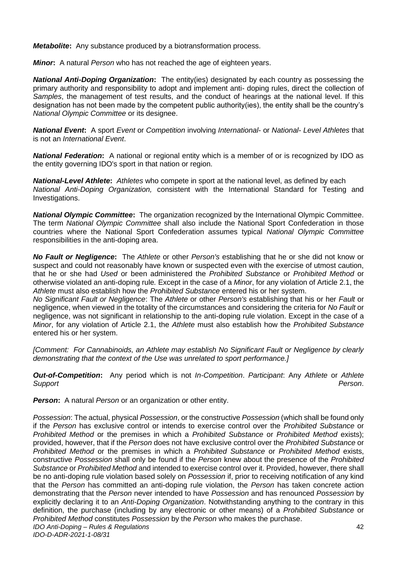*Metabolite***:** Any substance produced by a biotransformation process.

*Minor***:** A natural *Person* who has not reached the age of eighteen years.

*National Anti-Doping Organization***:** The entity(ies) designated by each country as possessing the primary authority and responsibility to adopt and implement anti- doping rules, direct the collection of *Samples*, the management of test results, and the conduct of hearings at the national level. If this designation has not been made by the competent public authority(ies), the entity shall be the country's *National Olympic Committee* or its designee.

*National Event***:** A sport *Event* or *Competition* involving *International-* or *National- Level Athletes* that is not an *International Event*.

**National Federation:** A national or regional entity which is a member of or is recognized by IDO as the entity governing IDO's sport in that nation or region.

*National-Level Athlete***:** *Athletes* who compete in sport at the national level, as defined by each *National Anti-Doping Organization,* consistent with the International Standard for Testing and Investigations.

*National Olympic Committee***:** The organization recognized by the International Olympic Committee. The term *National Olympic Committee* shall also include the National Sport Confederation in those countries where the National Sport Confederation assumes typical *National Olympic Committee*  responsibilities in the anti-doping area.

*No Fault or Negligence***:** The *Athlete* or other *Person's* establishing that he or she did not know or suspect and could not reasonably have known or suspected even with the exercise of utmost caution, that he or she had *Used* or been administered the *Prohibited Substance* or *Prohibited Method* or otherwise violated an anti-doping rule*.* Except in the case of a *Minor*, for any violation of Article 2.1, the *Athlete* must also establish how the *Prohibited Substance* entered his or her system.

*No Significant Fault or Negligence*: The *Athlete* or other *Person's* establishing that his or her *Fault* or negligence, when viewed in the totality of the circumstances and considering the criteria for *No Fault* or negligence, was not significant in relationship to the anti-doping rule violation. Except in the case of a *Minor*, for any violation of Article 2.1, the *Athlete* must also establish how the *Prohibited Substance*  entered his or her system.

*[Comment: For Cannabinoids, an Athlete may establish No Significant Fault or Negligence by clearly demonstrating that the context of the Use was unrelated to sport performance.]* 

*Out-of-Competition***:** Any period which is not *In-Competition*. *Participant*: Any *Athlete* or *Athlete Support Person*.

**Person:** A natural *Person* or an organization or other entity.

*IDO Anti-Doping – Rules & Regulations IDO-D-ADR-2021-1-08/31* 42 *Possession*: The actual, physical *Possession*, or the constructive *Possession* (which shall be found only if the *Person* has exclusive control or intends to exercise control over the *Prohibited Substance* or *Prohibited Method* or the premises in which a *Prohibited Substance* or *Prohibited Method* exists); provided, however, that if the *Person* does not have exclusive control over the *Prohibited Substance* or *Prohibited Method* or the premises in which a *Prohibited Substance* or *Prohibited Method* exists, constructive *Possession* shall only be found if the *Person* knew about the presence of the *Prohibited Substance* or *Prohibited Method* and intended to exercise control over it. Provided, however, there shall be no anti-doping rule violation based solely on *Possession* if, prior to receiving notification of any kind that the *Person* has committed an anti-doping rule violation, the *Person* has taken concrete action demonstrating that the *Person* never intended to have *Possession* and has renounced *Possession* by explicitly declaring it to an *Anti-Doping Organization*. Notwithstanding anything to the contrary in this definition, the purchase (including by any electronic or other means) of a *Prohibited Substance* or *Prohibited Method* constitutes *Possession* by the *Person* who makes the purchase.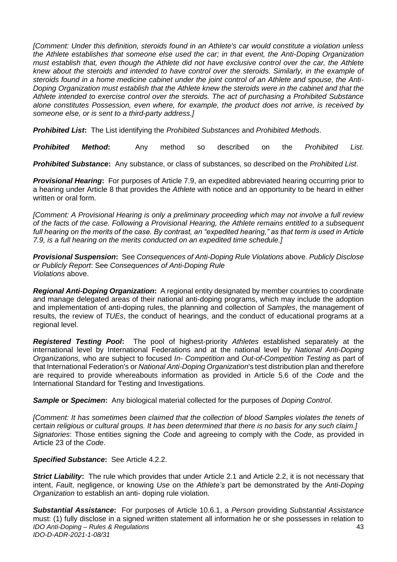*[Comment: Under this definition, steroids found in an Athlete's car would constitute a violation unless the Athlete establishes that someone else used the car; in that event, the Anti-Doping Organization must establish that, even though the Athlete did not have exclusive control over the car, the Athlete knew about the steroids and intended to have control over the steroids. Similarly, in the example of steroids found in a home medicine cabinet under the joint control of an Athlete and spouse, the Anti-Doping Organization must establish that the Athlete knew the steroids were in the cabinet and that the Athlete intended to exercise control over the steroids. The act of purchasing a Prohibited Substance alone constitutes Possession, even where, for example, the product does not arrive, is received by someone else, or is sent to a third-party address.]* 

*Prohibited List***:** The List identifying the *Prohibited Substances* and *Prohibited Methods*.

*Prohibited Method***:** Any method so described on the *Prohibited List*.

*Prohibited Substance***:** Any substance, or class of substances, so described on the *Prohibited List*.

*Provisional Hearing***:** For purposes of Article 7.9, an expedited abbreviated hearing occurring prior to a hearing under Article 8 that provides the *Athlete* with notice and an opportunity to be heard in either written or oral form.

*[Comment: A Provisional Hearing is only a preliminary proceeding which may not involve a full review of the facts of the case. Following a Provisional Hearing, the Athlete remains entitled to a subsequent full hearing on the merits of the case. By contrast, an "expedited hearing," as that term is used in Article 7.9, is a full hearing on the merits conducted on an expedited time schedule.]* 

*Provisional Suspension***:** See *Consequences of Anti-Doping Rule Violations* above. *Publicly Disclose or Publicly Report*: See *Consequences of Anti-Doping Rule Violations* above.

*Regional Anti-Doping Organization***:** A regional entity designated by member countries to coordinate and manage delegated areas of their national anti-doping programs, which may include the adoption and implementation of anti-doping rules, the planning and collection of *Samples*, the management of results, the review of *TUEs*, the conduct of hearings, and the conduct of educational programs at a regional level.

*Registered Testing Pool***:** The pool of highest-priority *Athletes* established separately at the international level by International Federations and at the national level by *National Anti-Doping Organizations,* who are subject to focused *In- Competition* and *Out-of-Competition Testing* as part of that International Federation's or *National Anti-Doping Organization*'s test distribution plan and therefore are required to provide whereabouts information as provided in Article 5.6 of the *Code* and the International Standard for Testing and Investigations.

*Sample* **or** *Specimen***:** Any biological material collected for the purposes of *Doping Control*.

*[Comment: It has sometimes been claimed that the collection of blood Samples violates the tenets of certain religious or cultural groups. It has been determined that there is no basis for any such claim.] Signatories*: Those entities signing the *Code* and agreeing to comply with the *Code*, as provided in Article 23 of the *Code*.

#### *Specified Substance***:** See Article 4.2.2.

**Strict Liability:** The rule which provides that under Article 2.1 and Article 2.2, it is not necessary that intent, *Fault*, negligence, or knowing *Use* on the *Athlete's* part be demonstrated by the *Anti-Doping Organization* to establish an anti- doping rule violation.

*IDO Anti-Doping – Rules & Regulations IDO-D-ADR-2021-1-08/31* 43 *Substantial Assistance***:** For purposes of Article 10.6.1, a *Person* providing *Substantial Assistance*  must: (1) fully disclose in a signed written statement all information he or she possesses in relation to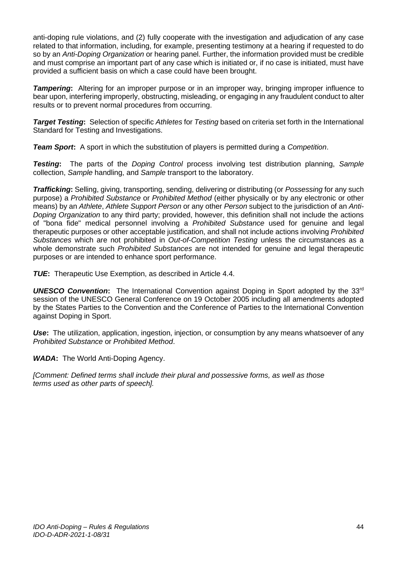anti-doping rule violations, and (2) fully cooperate with the investigation and adjudication of any case related to that information, including, for example, presenting testimony at a hearing if requested to do so by an *Anti-Doping Organization* or hearing panel. Further, the information provided must be credible and must comprise an important part of any case which is initiated or, if no case is initiated, must have provided a sufficient basis on which a case could have been brought.

*Tampering***:** Altering for an improper purpose or in an improper way, bringing improper influence to bear upon, interfering improperly, obstructing, misleading, or engaging in any fraudulent conduct to alter results or to prevent normal procedures from occurring.

*Target Testing***:** Selection of specific *Athletes* for *Testing* based on criteria set forth in the International Standard for Testing and Investigations.

*Team Sport***:** A sport in which the substitution of players is permitted during a *Competition*.

*Testing***:** The parts of the *Doping Control* process involving test distribution planning, *Sample*  collection, *Sample* handling, and *Sample* transport to the laboratory.

*Trafficking***:** Selling, giving, transporting, sending, delivering or distributing (or *Possessing* for any such purpose) a *Prohibited Substance* or *Prohibited Method* (either physically or by any electronic or other means) by an *Athlete*, *Athlete Support Person* or any other *Person* subject to the jurisdiction of an *Anti-Doping Organization* to any third party; provided, however, this definition shall not include the actions of "bona fide" medical personnel involving a *Prohibited Substance* used for genuine and legal therapeutic purposes or other acceptable justification, and shall not include actions involving *Prohibited Substances* which are not prohibited in *Out-of-Competition Testing* unless the circumstances as a whole demonstrate such *Prohibited Substances* are not intended for genuine and legal therapeutic purposes or are intended to enhance sport performance.

*TUE***:** Therapeutic Use Exemption, as described in Article 4.4.

**UNESCO Convention:** The International Convention against Doping in Sport adopted by the 33<sup>rd</sup> session of the UNESCO General Conference on 19 October 2005 including all amendments adopted by the States Parties to the Convention and the Conference of Parties to the International Convention against Doping in Sport.

*Use*: The utilization, application, ingestion, injection, or consumption by any means whatsoever of any *Prohibited Substance* or *Prohibited Method*.

*WADA***:** The World Anti-Doping Agency.

*[Comment: Defined terms shall include their plural and possessive forms, as well as those terms used as other parts of speech].*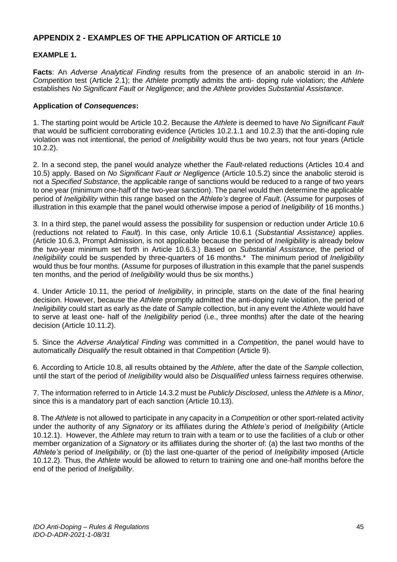# <span id="page-45-0"></span>**APPENDIX 2 - EXAMPLES OF THE APPLICATION OF ARTICLE 10**

# **EXAMPLE 1.**

**Facts**: An *Adverse Analytical Finding* results from the presence of an anabolic steroid in an *In-Competition* test (Article 2.1); the *Athlete* promptly admits the anti- doping rule violation; the *Athlete*  establishes *No Significant Fault or Negligence*; and the *Athlete* provides *Substantial Assistance*.

#### **Application of** *Consequences***:**

1. The starting point would be Article 10.2. Because the *Athlete* is deemed to have *No Significant Fault*  that would be sufficient corroborating evidence (Articles 10.2.1.1 and 10.2.3) that the anti-doping rule violation was not intentional, the period of *Ineligibility* would thus be two years, not four years (Article 10.2.2).

2. In a second step, the panel would analyze whether the *Fault*-related reductions (Articles 10.4 and 10.5) apply. Based on *No Significant Fault or Negligence* (Article 10.5.2) since the anabolic steroid is not a *Specified Substance*, the applicable range of sanctions would be reduced to a range of two years to one year (minimum one-half of the two-year sanction). The panel would then determine the applicable period of *Ineligibility* within this range based on the *Athlete's* degree of *Fault*. (Assume for purposes of illustration in this example that the panel would otherwise impose a period of *Ineligibility* of 16 months.)

3. In a third step, the panel would assess the possibility for suspension or reduction under Article 10.6 (reductions not related to *Fault*). In this case, only Article 10.6.1 (*Substantial Assistance)* applies. (Article 10.6.3, Prompt Admission, is not applicable because the period of *Ineligibility* is already below the two-year minimum set forth in Article 10.6.3.) Based on *Substantial Assistance*, the period of *Ineligibility* could be suspended by three-quarters of 16 months.\* The minimum period of *Ineligibility*  would thus be four months. (Assume for purposes of illustration in this example that the panel suspends ten months, and the period of *Ineligibility* would thus be six months.)

4. Under Article 10.11, the period of *Ineligibility*, in principle, starts on the date of the final hearing decision. However, because the *Athlete* promptly admitted the anti-doping rule violation, the period of *Ineligibility* could start as early as the date of *Sample* collection, but in any event the *Athlete* would have to serve at least one- half of the *Ineligibility* period (i.e., three months) after the date of the hearing decision (Article 10.11.2).

5. Since the *Adverse Analytical Finding* was committed in a *Competition*, the panel would have to automatically *Disqualify* the result obtained in that *Competition* (Article 9).

6. According to Article 10.8, all results obtained by the *Athlete,* after the date of the *Sample* collection, until the start of the period of *Ineligibility* would also be *Disqualified* unless fairness requires otherwise.

7. The information referred to in Article 14.3.2 must be *Publicly Disclosed*, unless the *Athlete* is a *Minor*, since this is a mandatory part of each sanction (Article 10.13).

8. The *Athlete* is not allowed to participate in any capacity in a *Competition* or other sport-related activity under the authority of any *Signatory* or its affiliates during the *Athlete's* period of *Ineligibility* (Article 10.12.1). However, the *Athlete* may return to train with a team or to use the facilities of a club or other member organization of a *Signatory* or its affiliates during the shorter of: (a) the last two months of the *Athlete's* period of *Ineligibility*, or (b) the last one-quarter of the period of *Ineligibility* imposed (Article 10.12.2). Thus, the *Athlete* would be allowed to return to training one and one-half months before the end of the period of *Ineligibility*.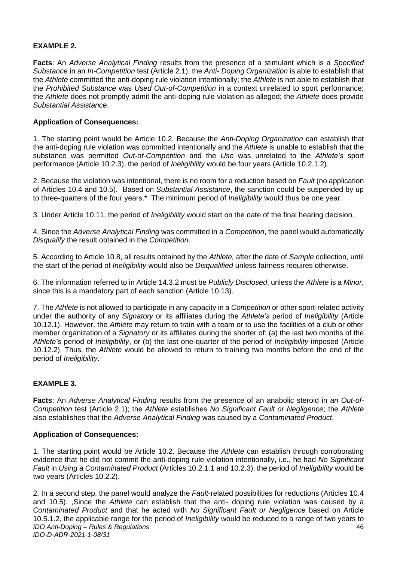#### **EXAMPLE 2.**

**Facts**: An *Adverse Analytical Finding* results from the presence of a stimulant which is a *Specified Substance* in an *In-Competition* test (Article 2.1); the *Anti- Doping Organization* is able to establish that the *Athlete* committed the anti-doping rule violation intentionally; the *Athlete* is not able to establish that the *Prohibited Substance* was *Used Out-of-Competition* in a context unrelated to sport performance; the *Athlete* does not promptly admit the anti-doping rule violation as alleged; the *Athlete* does provide *Substantial Assistance*.

#### **Application of Consequences:**

1. The starting point would be Article 10.2. Because the *Anti-Doping Organization* can establish that the anti-doping rule violation was committed intentionally and the *Athlete* is unable to establish that the substance was permitted *Out-of-Competition* and the *Use* was unrelated to the *Athlete's* sport performance (Article 10.2.3), the period of *Ineligibility* would be four years (Article 10.2.1.2).

2. Because the violation was intentional, there is no room for a reduction based on *Fault* (no application of Articles 10.4 and 10.5). Based on *Substantial Assistance*, the sanction could be suspended by up to three-quarters of the four years.\* The minimum period of *Ineligibility* would thus be one year.

3. Under Article 10.11, the period of *Ineligibility* would start on the date of the final hearing decision.

4. Since the *Adverse Analytical Finding* was committed in a *Competition*, the panel would automatically *Disqualify* the result obtained in the *Competition*.

5. According to Article 10.8, all results obtained by the *Athlete,* after the date of *Sample* collection, until the start of the period of *Ineligibility* would also be *Disqualified* unless fairness requires otherwise.

6. The information referred to in Article 14.3.2 must be *Publicly Disclosed*, unless the *Athlete* is a *Minor*, since this is a mandatory part of each sanction (Article 10.13).

7. The *Athlete* is not allowed to participate in any capacity in a *Competition* or other sport-related activity under the authority of any *Signatory* or its affiliates during the *Athlete's* period of *Ineligibility* (Article 10.12.1). However, the *Athlete* may return to train with a team or to use the facilities of a club or other member organization of a *Signatory* or its affiliates during the shorter of: (a) the last two months of the *Athlete's* period of *Ineligibility*, or (b) the last one-quarter of the period of *Ineligibility* imposed (Article 10.12.2). Thus, the *Athlete* would be allowed to return to training two months before the end of the period of *Ineligibility*.

# **EXAMPLE 3.**

**Facts**: An *Adverse Analytical Finding* results from the presence of an anabolic steroid in *an Out-of-Competition* test (Article 2.1); the *Athlete* establishes *No Significant Fault or Negligence*; the *Athlete*  also establishes that the *Adverse Analytical Finding* was caused by a *Contaminated Product*.

#### **Application of Consequences:**

1. The starting point would be Article 10.2. Because the *Athlete* can establish through corroborating evidence that he did not commit the anti-doping rule violation intentionally, i.e., he had *No Significant Fault* in *Using* a *Contaminated Product* (Articles 10.2.1.1 and 10.2.3), the period of *Ineligibility* would be two years (Articles 10.2.2).

*IDO Anti-Doping – Rules & Regulations IDO-D-ADR-2021-1-08/31* 46 2. In a second step, the panel would analyze the *Fault*-related possibilities for reductions (Articles 10.4 and 10.5). ,Since the *Athlete* can establish that the anti- doping rule violation was caused by a *Contaminated Product* and that he acted with *No Significant Fault or Negligence* based on Article 10.5.1.2, the applicable range for the period of *Ineligibility* would be reduced to a range of two years to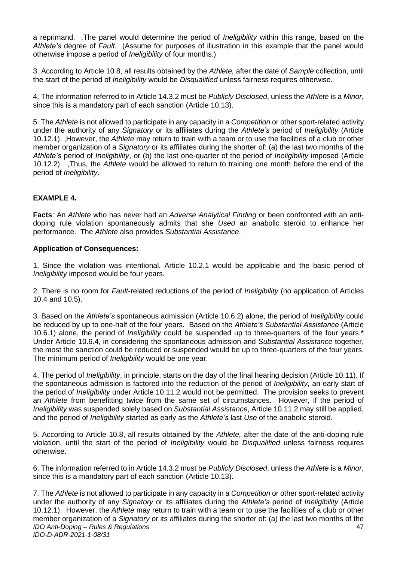a reprimand. ,The panel would determine the period of *Ineligibility* within this range, based on the *Athlete's* degree of *Fault*. (Assume for purposes of illustration in this example that the panel would otherwise impose a period of *Ineligibility* of four months.)

3. According to Article 10.8, all results obtained by the *Athlete,* after the date of *Sample* collection, until the start of the period of *Ineligibility* would be *Disqualified* unless fairness requires otherwise.

4. The information referred to in Article 14.3.2 must be *Publicly Disclosed*, unless the *Athlete* is a *Minor*, since this is a mandatory part of each sanction (Article 10.13).

5. The *Athlete* is not allowed to participate in any capacity in a *Competition* or other sport-related activity under the authority of any *Signatory* or its affiliates during the *Athlete's* period of *Ineligibility* (Article 10.12.1). ,However, the *Athlete* may return to train with a team or to use the facilities of a club or other member organization of a *Signatory* or its affiliates during the shorter of: (a) the last two months of the *Athlete's* period of *Ineligibility*, or (b) the last one-quarter of the period of *Ineligibility* imposed (Article 10.12.2). ,Thus, the *Athlete* would be allowed to return to training one month before the end of the period of *Ineligibility*.

#### **EXAMPLE 4.**

**Facts**: An *Athlete* who has never had an *Adverse Analytical Finding* or been confronted with an antidoping rule violation spontaneously admits that she *Used* an anabolic steroid to enhance her performance. The *Athlete* also provides *Substantial Assistance*.

#### **Application of Consequences:**

1. Since the violation was intentional, Article 10.2.1 would be applicable and the basic period of *Ineligibility* imposed would be four years.

2. There is no room for *Fault*-related reductions of the period of *Ineligibility* (no application of Articles 10.4 and 10.5).

3. Based on the *Athlete's* spontaneous admission (Article 10.6.2) alone, the period of *Ineligibility* could be reduced by up to one-half of the four years. Based on the *Athlete's Substantial Assistance* (Article 10.6.1) alone, the period of *Ineligibility* could be suspended up to three-quarters of the four years.\* Under Article 10.6.4, in considering the spontaneous admission and *Substantial Assistance* together, the most the sanction could be reduced or suspended would be up to three-quarters of the four years. The minimum period of *Ineligibility* would be one year.

4. The period of *Ineligibility*, in principle, starts on the day of the final hearing decision (Article 10.11). If the spontaneous admission is factored into the reduction of the period of *Ineligibility*, an early start of the period of *Ineligibility* under Article 10.11.2 would not be permitted. The provision seeks to prevent an *Athlete* from benefitting twice from the same set of circumstances. However, if the period of *Ineligibility* was suspended solely based on *Substantial Assistance*, Article 10.11.2 may still be applied, and the period of *Ineligibility* started as early as the *Athlete's* last *Use* of the anabolic steroid.

5. According to Article 10.8, all results obtained by the *Athlete,* after the date of the anti-doping rule violation, until the start of the period of *Ineligibility* would be *Disqualified* unless fairness requires otherwise.

6. The information referred to in Article 14.3.2 must be *Publicly Disclosed*, unless the *Athlete* is a *Minor*, since this is a mandatory part of each sanction (Article 10.13).

*IDO Anti-Doping – Rules & Regulations IDO-D-ADR-2021-1-08/31* 47 7. The *Athlete* is not allowed to participate in any capacity in a *Competition* or other sport-related activity under the authority of any *Signatory* or its affiliates during the *Athlete's* period of *Ineligibility* (Article 10.12.1). However, the *Athlete* may return to train with a team or to use the facilities of a club or other member organization of a *Signatory* or its affiliates during the shorter of: (a) the last two months of the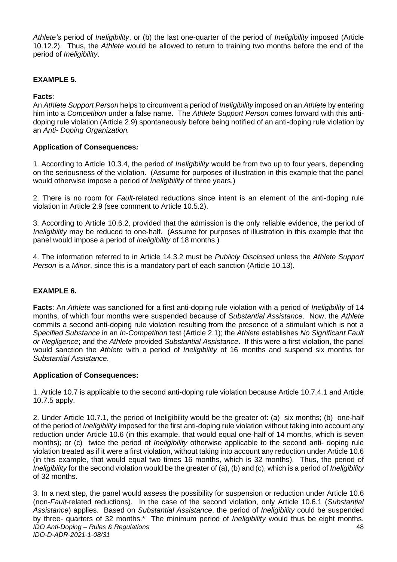*Athlete's* period of *Ineligibility*, or (b) the last one-quarter of the period of *Ineligibility* imposed (Article 10.12.2). Thus, the *Athlete* would be allowed to return to training two months before the end of the period of *Ineligibility*.

#### **EXAMPLE 5.**

#### **Facts**:

An *Athlete Support Person* helps to circumvent a period of *Ineligibility* imposed on an *Athlete* by entering him into a *Competition* under a false name. The *Athlete Support Person* comes forward with this antidoping rule violation (Article 2.9) spontaneously before being notified of an anti-doping rule violation by an *Anti- Doping Organization.* 

#### **Application of Consequences***:*

1. According to Article 10.3.4, the period of *Ineligibility* would be from two up to four years, depending on the seriousness of the violation. (Assume for purposes of illustration in this example that the panel would otherwise impose a period of *Ineligibility* of three years.)

2. There is no room for *Fault*-related reductions since intent is an element of the anti-doping rule violation in Article 2.9 (see comment to Article 10.5.2).

3. According to Article 10.6.2, provided that the admission is the only reliable evidence, the period of *Ineligibility* may be reduced to one-half. (Assume for purposes of illustration in this example that the panel would impose a period of *Ineligibility* of 18 months.)

4. The information referred to in Article 14.3.2 must be *Publicly Disclosed* unless the *Athlete Support Person* is a *Minor*, since this is a mandatory part of each sanction (Article 10.13).

#### **EXAMPLE 6.**

**Facts**: An *Athlete* was sanctioned for a first anti-doping rule violation with a period of *Ineligibility* of 14 months, of which four months were suspended because of *Substantial Assistance*. Now, the *Athlete*  commits a second anti-doping rule violation resulting from the presence of a stimulant which is not a *Specified Substance* in an *In-Competition* test (Article 2.1); the *Athlete* establishes *No Significant Fault or Negligence*; and the *Athlete* provided *Substantial Assistance*. If this were a first violation, the panel would sanction the *Athlete* with a period of *Ineligibility* of 16 months and suspend six months for *Substantial Assistance*.

#### **Application of Consequences:**

1. Article 10.7 is applicable to the second anti-doping rule violation because Article 10.7.4.1 and Article 10.7.5 apply.

2. Under Article 10.7.1, the period of Ineligibility would be the greater of: (a) six months; (b) one-half of the period of *Ineligibility* imposed for the first anti-doping rule violation without taking into account any reduction under Article 10.6 (in this example, that would equal one-half of 14 months, which is seven months); or (c) twice the period of *Ineligibility* otherwise applicable to the second anti- doping rule violation treated as if it were a first violation, without taking into account any reduction under Article 10.6 (in this example, that would equal two times 16 months, which is 32 months). Thus, the period of *Ineligibility* for the second violation would be the greater of (a), (b) and (c), which is a period of *Ineligibility*  of 32 months.

*IDO Anti-Doping – Rules & Regulations IDO-D-ADR-2021-1-08/31* 48 3. In a next step, the panel would assess the possibility for suspension or reduction under Article 10.6 (non-*Fault*-related reductions). In the case of the second violation, only Article 10.6.1 (*Substantial Assistance*) applies. Based on *Substantial Assistance*, the period of *Ineligibility* could be suspended by three- quarters of 32 months.\* The minimum period of *Ineligibility* would thus be eight months.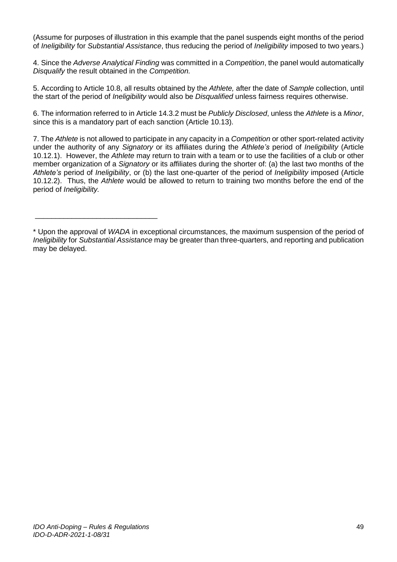(Assume for purposes of illustration in this example that the panel suspends eight months of the period of *Ineligibility* for *Substantial Assistance*, thus reducing the period of *Ineligibility* imposed to two years.)

4. Since the *Adverse Analytical Finding* was committed in a *Competition*, the panel would automatically *Disqualify* the result obtained in the *Competition.* 

5. According to Article 10.8, all results obtained by the *Athlete,* after the date of *Sample* collection, until the start of the period of *Ineligibility* would also be *Disqualified* unless fairness requires otherwise.

6. The information referred to in Article 14.3.2 must be *Publicly Disclosed*, unless the *Athlete* is a *Minor*, since this is a mandatory part of each sanction (Article 10.13).

7. The *Athlete* is not allowed to participate in any capacity in a *Competition* or other sport-related activity under the authority of any *Signatory* or its affiliates during the *Athlete's* period of *Ineligibility* (Article 10.12.1). However, the *Athlete* may return to train with a team or to use the facilities of a club or other member organization of a *Signatory* or its affiliates during the shorter of: (a) the last two months of the *Athlete's* period of *Ineligibility*, or (b) the last one-quarter of the period of *Ineligibility* imposed (Article 10.12.2). Thus, the *Athlete* would be allowed to return to training two months before the end of the period of *Ineligibility.*

\_\_\_\_\_\_\_\_\_\_\_\_\_\_\_\_\_\_\_\_\_\_\_\_\_\_\_\_\_\_

<sup>\*</sup> Upon the approval of *WADA* in exceptional circumstances, the maximum suspension of the period of *Ineligibility* for *Substantial Assistance* may be greater than three-quarters, and reporting and publication may be delayed.